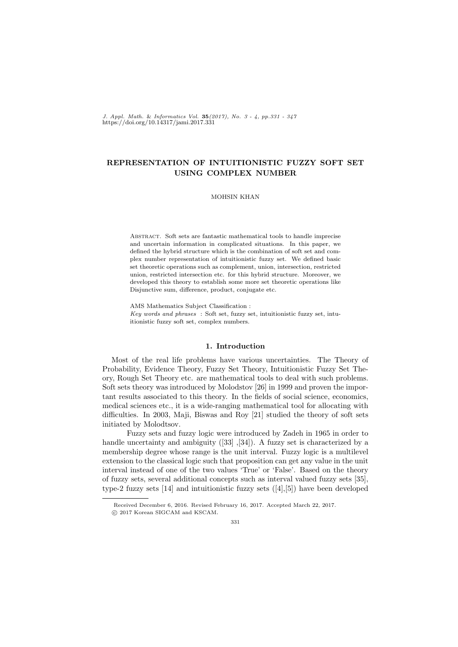*J. Appl. Math.* & *Informatics Vol.* **35***(2017), No. 3 - 4, pp.331 - 347* https://doi.org/10.14317/jami.2017.331

# **REPRESENTATION OF INTUITIONISTIC FUZZY SOFT SET USING COMPLEX NUMBER**

## MOHSIN KHAN

Abstract. Soft sets are fantastic mathematical tools to handle imprecise and uncertain information in complicated situations. In this paper, we defined the hybrid structure which is the combination of soft set and complex number representation of intuitionistic fuzzy set. We defined basic set theoretic operations such as complement, union, intersection, restricted union, restricted intersection etc. for this hybrid structure. Moreover, we developed this theory to establish some more set theoretic operations like Disjunctive sum, difference, product, conjugate etc.

AMS Mathematics Subject Classification : *Key words and phrases* : Soft set, fuzzy set, intuitionistic fuzzy set, intuitionistic fuzzy soft set, complex numbers.

### **1. Introduction**

Most of the real life problems have various uncertainties. The Theory of Probability, Evidence Theory, Fuzzy Set Theory, Intuitionistic Fuzzy Set Theory, Rough Set Theory etc. are mathematical tools to deal with such problems. Soft sets theory was introduced by Molodstov [26] in 1999 and proven the important results associated to this theory. In the fields of social science, economics, medical sciences etc., it is a wide-ranging mathematical tool for allocating with difficulties. In 2003, Maji, Biswas and Roy [21] studied the theory of soft sets initiated by Molodtsov.

Fuzzy sets and fuzzy logic were introduced by Zadeh in 1965 in order to handle uncertainty and ambiguity ([33] ,[34]). A fuzzy set is characterized by a membership degree whose range is the unit interval. Fuzzy logic is a multilevel extension to the classical logic such that proposition can get any value in the unit interval instead of one of the two values 'True' or 'False'. Based on the theory of fuzzy sets, several additional concepts such as interval valued fuzzy sets [35], type-2 fuzzy sets  $[14]$  and intuitionistic fuzzy sets  $([4],[5])$  have been developed

Received December 6, 2016. Revised February 16, 2017. Accepted March 22, 2017.

 $\odot$  2017 Korean SIGCAM and KSCAM.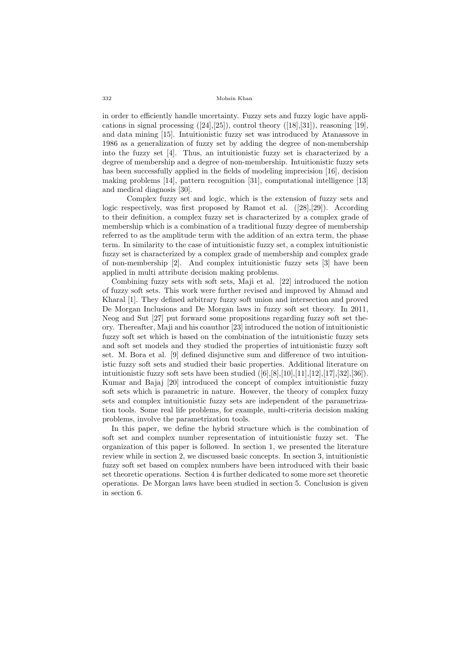in order to efficiently handle uncertainty. Fuzzy sets and fuzzy logic have applications in signal processing  $([24],[25])$ , control theory  $([18],[31])$ , reasoning [19], and data mining [15]. Intuitionistic fuzzy set was introduced by Atanassove in 1986 as a generalization of fuzzy set by adding the degree of non-membership into the fuzzy set [4]. Thus, an intuitionistic fuzzy set is characterized by a degree of membership and a degree of non-membership. Intuitionistic fuzzy sets has been successfully applied in the fields of modeling imprecision [16], decision making problems [14], pattern recognition [31], computational intelligence [13] and medical diagnosis [30].

Complex fuzzy set and logic, which is the extension of fuzzy sets and logic respectively, was first proposed by Ramot et al. ([28],[29]). According to their definition, a complex fuzzy set is characterized by a complex grade of membership which is a combination of a traditional fuzzy degree of membership referred to as the amplitude term with the addition of an extra term, the phase term. In similarity to the case of intuitionistic fuzzy set, a complex intuitionistic fuzzy set is characterized by a complex grade of membership and complex grade of non-membership [2]. And complex intuitionistic fuzzy sets [3] have been applied in multi attribute decision making problems.

Combining fuzzy sets with soft sets, Maji et al. [22] introduced the notion of fuzzy soft sets. This work were further revised and improved by Ahmad and Kharal [1]. They defined arbitrary fuzzy soft union and intersection and proved De Morgan Inclusions and De Morgan laws in fuzzy soft set theory. In 2011, Neog and Sut [27] put forward some propositions regarding fuzzy soft set theory. Thereafter, Maji and his coauthor [23] introduced the notion of intuitionistic fuzzy soft set which is based on the combination of the intuitionistic fuzzy sets and soft set models and they studied the properties of intuitionistic fuzzy soft set. M. Bora et al. [9] defined disjunctive sum and difference of two intuitionistic fuzzy soft sets and studied their basic properties. Additional literature on intuitionistic fuzzy soft sets have been studied  $([6],[8],[10],[11],[12],[17],[32],[36])$ . Kumar and Bajaj [20] introduced the concept of complex intuitionistic fuzzy soft sets which is parametric in nature. However, the theory of complex fuzzy sets and complex intuitionistic fuzzy sets are independent of the parametrization tools. Some real life problems, for example, multi-criteria decision making problems, involve the parametrization tools.

In this paper, we define the hybrid structure which is the combination of soft set and complex number representation of intuitionistic fuzzy set. The organization of this paper is followed. In section 1, we presented the literature review while in section 2, we discussed basic concepts. In section 3, intuitionistic fuzzy soft set based on complex numbers have been introduced with their basic set theoretic operations. Section 4 is further dedicated to some more set theoretic operations. De Morgan laws have been studied in section 5. Conclusion is given in section 6.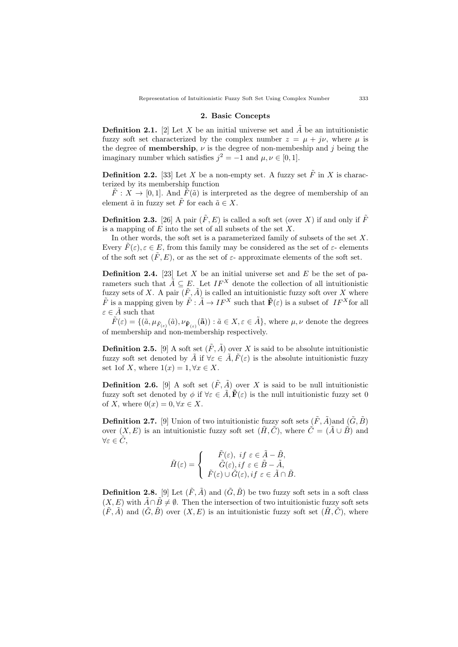#### **2. Basic Concepts**

**Definition 2.1.** [2] Let *X* be an initial universe set and  $\tilde{A}$  be an intuitionistic fuzzy soft set characterized by the complex number  $z = \mu + i\nu$ , where  $\mu$  is the degree of **membership**,  $\nu$  is the degree of non-membeship and *j* being the imaginary number which satisfies  $j^2 = -1$  and  $\mu, \nu \in [0, 1]$ .

**Definition 2.2.** [33] Let *X* be a non-empty set. A fuzzy set  $\tilde{F}$  in *X* is characterized by its membership function

 $\tilde{F}: X \to [0,1]$ . And  $\tilde{F}(\tilde{a})$  is interpreted as the degree of membership of an element  $\tilde{a}$  in fuzzy set  $\tilde{F}$  for each  $\tilde{a} \in X$ .

**Definition 2.3.** [26] A pair  $(\tilde{F}, E)$  is called a soft set (over *X*) if and only if  $\tilde{F}$ is a mapping of *E* into the set of all subsets of the set *X*.

In other words, the soft set is a parameterized family of subsets of the set *X*. Every  $\hat{F}(\varepsilon), \varepsilon \in E$ , from this family may be considered as the set of  $\varepsilon$ - elements of the soft set  $(F, E)$ , or as the set of  $\varepsilon$ - approximate elements of the soft set.

**Definition 2.4.** [23] Let *X* be an initial universe set and *E* be the set of parameters such that  $\tilde{A} \subseteq E$ . Let  $IF^X$  denote the collection of all intuitionistic fuzzy sets of *X*. A pair  $(\tilde{F}, \tilde{A})$  is called an intuitionistic fuzzy soft over *X* where  $\tilde{F}$  is a mapping given by  $\tilde{F}$  :  $\tilde{A} \to I F^X$  such that  $\tilde{F}(\varepsilon)$  is a subset of  $IF^X$  for all  $\varepsilon \in \tilde{A}$  such that

 $\tilde{F}(\varepsilon) = \{(\tilde{a}, \mu_{\tilde{F}_{(\varepsilon)}}(\tilde{a}), \nu_{\tilde{\mathbf{F}}_{(\varepsilon)}}(\tilde{\mathbf{a}})) : \tilde{a} \in X, \varepsilon \in \tilde{A}\},\$  where  $\mu, \nu$  denote the degrees of membership and non-membership respectively.

**Definition 2.5.** [9] A soft set  $(\tilde{F}, \tilde{A})$  over *X* is said to be absolute intuitionistic fuzzy soft set denoted by  $\tilde{A}$  if  $\forall \varepsilon \in \tilde{A}$ ,  $\tilde{F}(\varepsilon)$  is the absolute intuitionistic fuzzy set 1of *X*, where  $1(x) = 1, \forall x \in X$ .

**Definition 2.6.** [9] A soft set  $(\tilde{F}, \tilde{A})$  over *X* is said to be null intuitionistic fuzzy soft set denoted by  $\phi$  if  $\forall \varepsilon \in \tilde{A}$ ,  $\tilde{\mathbf{F}}(\varepsilon)$  is the null intuitionistic fuzzy set 0 of *X*, where  $0(x) = 0, \forall x \in X$ .

**Definition 2.7.** [9] Union of two intuitionistic fuzzy soft sets  $(\tilde{F}, \tilde{A})$  and  $(\tilde{G}, \tilde{B})$ over  $(X, E)$  is an intuitionistic fuzzy soft set  $(\tilde{H}, \tilde{C})$ , where  $\tilde{C} = (\tilde{A} \cup \tilde{B})$  and *∀ε ∈ C*˜,

$$
\tilde{H}(\varepsilon) = \begin{cases}\n\tilde{F}(\varepsilon), & \text{if } \varepsilon \in \tilde{A} - \tilde{B}, \\
\tilde{G}(\varepsilon), & \text{if } \varepsilon \in \tilde{B} - \tilde{A}, \\
\tilde{F}(\varepsilon) \cup \tilde{G}(\varepsilon), & \text{if } \varepsilon \in \tilde{A} \cap \tilde{B}.\n\end{cases}
$$

**Definition 2.8.** [9] Let  $(\tilde{F}, \tilde{A})$  and  $(\tilde{G}, \tilde{B})$  be two fuzzy soft sets in a soft class  $(X, E)$  with  $\tilde{A} \cap \tilde{B} \neq \emptyset$ . Then the intersection of two intuitionistic fuzzy soft sets  $(\tilde{F}, \tilde{A})$  and  $(\tilde{G}, \tilde{B})$  over  $(X, E)$  is an intuitionistic fuzzy soft set  $(\tilde{H}, \tilde{C})$ , where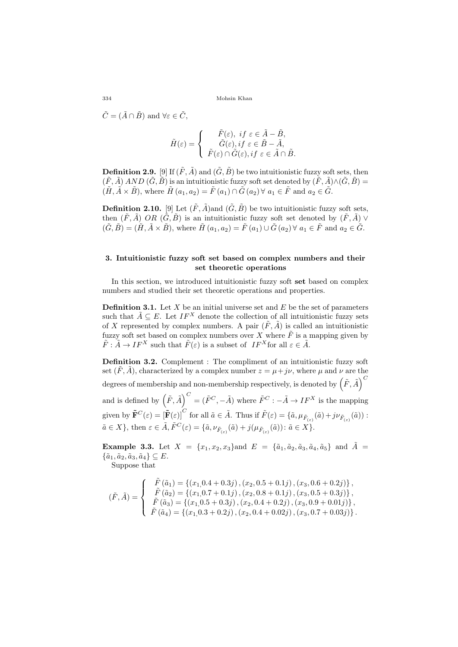$\tilde{C} = (\tilde{A} \cap \tilde{B})$  and  $\forall \varepsilon \in \tilde{C}$ ,

$$
\tilde{H}(\varepsilon) = \begin{cases}\n\tilde{F}(\varepsilon), & \text{if } \varepsilon \in \tilde{A} - \tilde{B}, \\
\tilde{G}(\varepsilon), & \text{if } \varepsilon \in \tilde{B} - \tilde{A}, \\
\tilde{F}(\varepsilon) \cap \tilde{G}(\varepsilon), & \text{if } \varepsilon \in \tilde{A} \cap \tilde{B}.\n\end{cases}
$$

**Definition 2.9.** [9] If  $(\tilde{F}, \tilde{A})$  and  $(\tilde{G}, \tilde{B})$  be two intuitionistic fuzzy soft sets, then  $(\tilde{F}, \tilde{A})$  *AND*  $(\tilde{G}, \tilde{B})$  is an intuitionistic fuzzy soft set denoted by  $(\tilde{F}, \tilde{A}) \wedge (\tilde{G}, \tilde{B}) =$  $(\tilde{H}, \tilde{A} \times \tilde{B})$ , where  $\tilde{H}(a_1, a_2) = \tilde{F}(a_1) \cap \tilde{G}(a_2) \forall a_1 \in \tilde{F}$  and  $a_2 \in \tilde{G}$ .

**Definition 2.10.** [9] Let  $(\tilde{F}, \tilde{A})$  and  $(\tilde{G}, \tilde{B})$  be two intuitionistic fuzzy soft sets, then  $(\tilde{F}, \tilde{A})$  *OR*  $(\tilde{G}, \tilde{B})$  is an intuitionistic fuzzy soft set denoted by  $(\tilde{F}, \tilde{A})$   $\vee$  $(\tilde{G}, \tilde{B}) = (\tilde{H}, \tilde{A} \times \tilde{B})$ , where  $\tilde{H}(a_1, a_2) = \tilde{F}(a_1) \cup \tilde{G}(a_2) \ \forall \ a_1 \in \tilde{F}$  and  $a_2 \in \tilde{G}$ .

## **3. Intuitionistic fuzzy soft set based on complex numbers and their set theoretic operations**

In this section, we introduced intuitionistic fuzzy soft **set** based on complex numbers and studied their set theoretic operations and properties.

**Definition 3.1.** Let *X* be an initial universe set and *E* be the set of parameters such that  $\tilde{A} \subseteq E$ . Let  $IF^X$  denote the collection of all intuitionistic fuzzy sets of *X* represented by complex numbers. A pair  $(\tilde{F}, \tilde{A})$  is called an intuitionistic fuzzy soft set based on complex numbers over *X* where  $\tilde{F}$  is a mapping given by  $\tilde{F}: \tilde{A} \to IF^X$  such that  $\tilde{F}(\varepsilon)$  is a subset of  $IF^X$  for all  $\varepsilon \in \tilde{A}$ .

**Definition 3.2.** Complement : The compliment of an intuitionistic fuzzy soft set  $(\tilde{F}, \tilde{A})$ , characterized by a complex number  $z = \mu + j\nu$ , where  $\mu$  and  $\nu$  are the degrees of membership and non-membership respectively, is denoted by  $\left(\tilde{F}, \tilde{A}\right)^C$ 

and is defined by  $(\tilde{F}, \tilde{A})^C = (\tilde{F}^C, -\tilde{A})$  where  $\tilde{F}^C : -\tilde{A} \to I F^X$  is the mapping given by  $\tilde{\mathbf{F}}^{C}(\varepsilon) = [\tilde{\mathbf{F}}(\varepsilon)]^{C}$  for all  $\tilde{a} \in \tilde{A}$ . Thus if  $\tilde{F}(\varepsilon) = {\tilde{a}, \mu_{\tilde{F}_{(\varepsilon)}}(\tilde{a}) + j\nu_{\tilde{F}_{(\varepsilon)}}(\tilde{a})}$ :  $\tilde{a} \in X$ , then  $\varepsilon \in \tilde{A}$ ,  $\tilde{F}^C(\varepsilon) = \{\tilde{a}, \nu_{\tilde{F}_{(\varepsilon)}}(\tilde{a}) + j(\mu_{\tilde{F}_{(\varepsilon)}}(\tilde{a})) : \tilde{a} \in X\}.$ 

**Example 3.3.** Let  $X = \{x_1, x_2, x_3\}$ and  $E = \{\tilde{a}_1, \tilde{a}_2, \tilde{a}_3, \tilde{a}_4, \tilde{a}_5\}$  and  $\tilde{A} =$  $\{\tilde{a}_1, \tilde{a}_2, \tilde{a}_3, \tilde{a}_4\} \subseteq E.$ 

Suppose that

$$
(\tilde{F},\tilde{A})=\left\{\begin{array}{c} \tilde{F}\left(\tilde{a}_1\right)=\left\{\left(x_1,0.4+0.3j\right),\left(x_2,0.5+0.1j\right),\left(x_3,0.6+0.2j\right)\right\},\\ \tilde{F}\left(\tilde{a}_2\right)=\left\{\left(x_1,0.7+0.1j\right),\left(x_2,0.8+0.1j\right),\left(x_3,0.5+0.3j\right)\right\},\\ \tilde{F}\left(\tilde{a}_3\right)=\left\{\left(x_1,0.5+0.3j\right),\left(x_2,0.4+0.2j\right),\left(x_3,0.9+0.01j\right)\right\},\\ \tilde{F}\left(\tilde{a}_4\right)=\left\{\left(x_1,0.3+0.2j\right),\left(x_2,0.4+0.02j\right),\left(x_3,0.7+0.03j\right)\right\}.\end{array}\right.
$$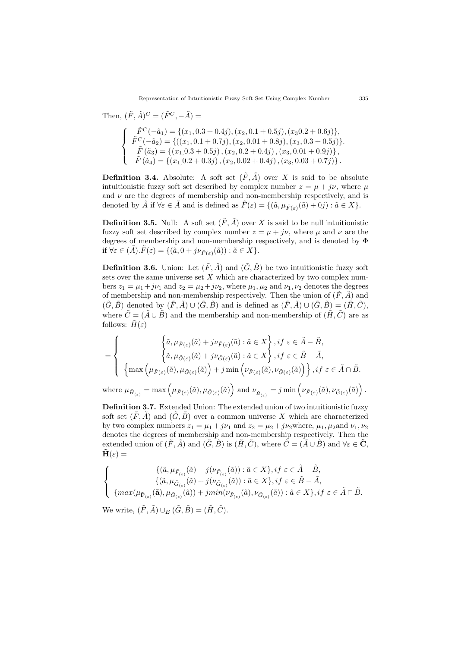Then, 
$$
(\tilde{F}, \tilde{A})^C = (\tilde{F}^C, -\tilde{A}) =
$$
  
\n
$$
\begin{cases}\n\tilde{F}^C(-\tilde{a}_1) = \{(x_1, 0.3 + 0.4j), (x_2, 0.1 + 0.5j), (x_3 0.2 + 0.6j)\}, \\
\tilde{F}^C(-\tilde{a}_2) = \{((x_1, 0.1 + 0.7j), (x_2, 0.01 + 0.8j), (x_3, 0.3 + 0.5j)\}, \\
\tilde{F}(\tilde{a}_3) = \{(x_1, 0.3 + 0.5j), (x_2, 0.2 + 0.4j), (x_3, 0.01 + 0.9j)\}, \\
\tilde{F}(\tilde{a}_4) = \{(x_1, 0.2 + 0.3j), (x_2, 0.02 + 0.4j), (x_3, 0.03 + 0.7j)\}.\n\end{cases}
$$

**Definition 3.4.** Absolute: A soft set  $(\tilde{F}, \tilde{A})$  over *X* is said to be absolute intuitionistic fuzzy soft set described by complex number  $z = \mu + i\nu$ , where  $\mu$ and  $\nu$  are the degrees of membership and non-membership respectively, and is denoted by  $\tilde{A}$  if  $\forall \varepsilon \in \tilde{A}$  and is defined as  $\tilde{F}(\varepsilon) = \{(\tilde{a}, \mu_{\tilde{F}(\varepsilon)}(\tilde{a}) + 0j) : \tilde{a} \in X\}$ .

**Definition 3.5.** Null: A soft set  $(\tilde{F}, \tilde{A})$  over X is said to be null intuitionistic fuzzy soft set described by complex number  $z = \mu + j\nu$ , where  $\mu$  and  $\nu$  are the degrees of membership and non-membership respectively, and is denoted by Φ  $i \text{if } \forall \varepsilon \in (\tilde{A}) \cdot \tilde{F}(\varepsilon) = \{ (\tilde{a}, 0 + j\nu_{\tilde{F}(\varepsilon)}(\tilde{a})) : \tilde{a} \in X \}.$ 

**Definition 3.6.** Union: Let  $(\tilde{F}, \tilde{A})$  and  $(\tilde{G}, \tilde{B})$  be two intuitionistic fuzzy soft sets over the same universe set *X* which are characterized by two complex numbers  $z_1 = \mu_1 + j\nu_1$  and  $z_2 = \mu_2 + j\nu_2$ , where  $\mu_1, \mu_2$  and  $\nu_1, \nu_2$  denotes the degrees of membership and non-membership respectively. Then the union of  $(\tilde{F}, \tilde{A})$  and  $(\tilde{G}, \tilde{B})$  denoted by  $(\tilde{F}, \tilde{A}) \cup (\tilde{G}, \tilde{B})$  and is defined as  $(\tilde{F}, \tilde{A}) \cup (\tilde{G}, \tilde{B}) = (\tilde{H}, \tilde{C})$ , where  $\tilde{C} = (\tilde{A} \cup \tilde{B})$  and the membership and non-membership of  $(\tilde{H}, \tilde{C})$  are as follows:  $H(\varepsilon)$ 

$$
= \left\{\begin{array}{c}\left\{\tilde{a},\mu_{\tilde{F}(\varepsilon)}(\tilde{a})+j\nu_{\tilde{F}(\varepsilon)}(\tilde{a}):\tilde{a}\in X\right\},if\ \varepsilon\in\tilde{A}-\tilde{B},\\ \left\{\tilde{a},\mu_{\tilde{G}(\varepsilon)}(\tilde{a})+j\nu_{\tilde{G}(\varepsilon)}(\tilde{a}):\tilde{a}\in X\right\},if\ \varepsilon\in\tilde{B}-\tilde{A},\\ \left\{\max\left(\mu_{\tilde{F}(\varepsilon)}(\tilde{a}),\mu_{\tilde{G}(\varepsilon)}(\tilde{a})\right)+j\min\left(\nu_{\tilde{F}(\varepsilon)}(\tilde{a}),\nu_{\tilde{G}(\varepsilon)}(\tilde{a})\right)\right\},if\ \varepsilon\in\tilde{A}\cap\tilde{B}.\end{array}\right.
$$

where  $\mu_{\tilde{H}(\varepsilon)} = \max \left( \mu_{\tilde{F}(\varepsilon)}(\tilde{a}), \mu_{\tilde{G}(\varepsilon)}(\tilde{a}) \right)$  and  $\nu_{\tilde{H}(\varepsilon)} = j \min \left( \nu_{\tilde{F}(\varepsilon)}(\tilde{a}), \nu_{\tilde{G}(\varepsilon)}(\tilde{a}) \right)$ .

**Definition 3.7.** Extended Union: The extended union of two intuitionistic fuzzy soft set  $(\tilde{F}, \tilde{A})$  and  $(\tilde{G}, \tilde{B})$  over a common universe X which are characterized by two complex numbers  $z_1 = \mu_1 + j\nu_1$  and  $z_2 = \mu_2 + j\nu_2$  where,  $\mu_1, \mu_2$  and  $\nu_1, \nu_2$ denotes the degrees of membership and non-membership respectively. Then the extended union of  $(\tilde{F}, \tilde{A})$  and  $(\tilde{G}, \tilde{B})$  is  $(\tilde{H}, \tilde{C})$ , where  $\tilde{C} = (\tilde{A} \cup \tilde{B})$  and  $\forall \varepsilon \in \tilde{C}$ ,  $\mathbf{H}(\varepsilon) =$ 

$$
\label{eq:11} \left\{\begin{array}{c} \{(\tilde{a},\mu_{\tilde{F}_{(\varepsilon)}}(\tilde{a})+j(\nu_{\tilde{F}_{(\varepsilon)}}(\tilde{a})): \tilde{a}\in X\},if\ \varepsilon\in \tilde{A}-\tilde{B}, \\ \{(\tilde{a},\mu_{\tilde{G}_{(\varepsilon)}}(\tilde{a})+j(\nu_{\tilde{G}_{(\varepsilon)}}(\tilde{a})): \tilde{a}\in X\},if\ \varepsilon\in \tilde{B}-\tilde{A}, \\ \{max(\mu_{\tilde{\mathbf{F}}_{(\varepsilon)}}(\tilde{\mathbf{a}}),\mu_{\tilde{G}_{(\varepsilon)}}(\tilde{a}))+jmin(\nu_{\tilde{F}_{(\varepsilon)}}(\tilde{a}),\nu_{\tilde{G}_{(\varepsilon)}}(\tilde{a})): \tilde{a}\in X\},if\ \varepsilon\in \tilde{A}\cap \tilde{B}. \end{array}\right.
$$

We write,  $(\tilde{F}, \tilde{A}) \cup_{E} (\tilde{G}, \tilde{B}) = (\tilde{H}, \tilde{C})$ .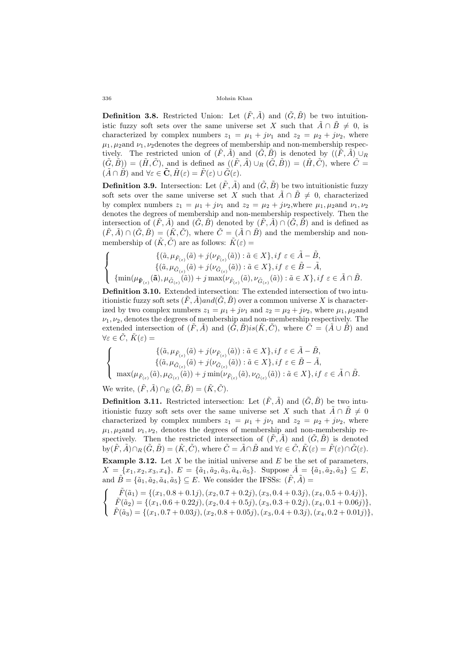**Definition 3.8.** Restricted Union: Let  $(\tilde{F}, \tilde{A})$  and  $(\tilde{G}, \tilde{B})$  be two intuitionistic fuzzy soft sets over the same universe set *X* such that  $\tilde{A} \cap \tilde{B} \neq 0$ , is characterized by complex numbers  $z_1 = \mu_1 + j\nu_1$  and  $z_2 = \mu_2 + j\nu_2$ , where  $\mu_1, \mu_2$  and  $\nu_1, \nu_2$  denotes the degrees of membership and non-membership respectively. The restricted union of  $(F, A)$  and  $(G, B)$  is denoted by  $((F, A) \cup_R)$  $(\tilde{G}, \tilde{B})$  =  $(\tilde{H}, \tilde{C})$ , and is defined as  $((\tilde{F}, \tilde{A}) \cup_R (\tilde{G}, \tilde{B})) = (\tilde{H}, \tilde{C})$ , where  $\tilde{C} =$  $(\tilde{A} \cap \tilde{B})$  and  $\forall \varepsilon \in \tilde{\mathbf{C}}, \tilde{H}(\varepsilon) = \tilde{F}(\varepsilon) \cup \tilde{G}(\varepsilon)$ .

**Definition 3.9.** Intersection: Let  $(\tilde{F}, \tilde{A})$  and  $(\tilde{G}, \tilde{B})$  be two intuitionistic fuzzy soft sets over the same universe set *X* such that  $\tilde{A} \cap \tilde{B} \neq 0$ , characterized by complex numbers  $z_1 = \mu_1 + j\nu_1$  and  $z_2 = \mu_2 + j\nu_2$ , where  $\mu_1, \mu_2$  and  $\nu_1, \nu_2$ denotes the degrees of membership and non-membership respectively. Then the intersection of  $(\tilde{F}, \tilde{A})$  and  $(\tilde{G}, \tilde{B})$  denoted by  $(\tilde{F}, \tilde{A}) \cap (\tilde{G}, \tilde{B})$  and is defined as  $(\tilde{F}, \tilde{A}) \cap (\tilde{G}, \tilde{B}) = (\tilde{K}, \tilde{C})$ , where  $\tilde{C} = (\tilde{A} \cap \tilde{B})$  and the membership and nonmembership of  $(\tilde{K}, \tilde{C})$  are as follows:  $\tilde{K}(\varepsilon) =$ 

$$
\label{eq:21} \left\{\begin{array}{c} \{(\tilde{a},\mu_{\tilde{F}_{(\varepsilon)}}(\tilde{a})+j(\nu_{\tilde{F}_{(\varepsilon)}}(\tilde{a})): \tilde{a}\in X\},if\ \varepsilon\in \tilde{A}-\tilde{B},\\ \{(\tilde{a},\mu_{\tilde{G}_{(\varepsilon)}}(\tilde{a})+j(\nu_{\tilde{G}_{(\varepsilon)}}(\tilde{a})): \tilde{a}\in X\},if\ \varepsilon\in \tilde{B}-\tilde{A},\\ \{\min(\mu_{\tilde{\mathbf{F}}_{(\varepsilon)}}(\tilde{\mathbf{a}}),\mu_{\tilde{G}_{(\varepsilon)}}(\tilde{a}))+j\max(\nu_{\tilde{F}_{(\varepsilon)}}(\tilde{a}),\nu_{\tilde{G}_{(\varepsilon)}}(\tilde{a})): \tilde{a}\in X\},if\ \varepsilon\in \tilde{A}\cap \tilde{B}. \end{array}\right.
$$

**Definition 3.10.** Extended intersection: The extended intersection of two intuitionistic fuzzy soft sets  $(\tilde{F}, \tilde{A})$  *and* $(\tilde{G}, \tilde{B})$  over a common universe X is characterized by two complex numbers  $z_1 = \mu_1 + j\nu_1$  and  $z_2 = \mu_2 + j\nu_2$ , where  $\mu_1, \mu_2$  and  $\nu_1, \nu_2$ , denotes the degrees of membership and non-membership respectively. The extended intersection of  $(\tilde{F}, \tilde{A})$  and  $(\tilde{G}, \tilde{B})is(\tilde{K}, \tilde{C})$ , where  $\tilde{C} = (\tilde{A} \cup \tilde{B})$  and  $\forall \varepsilon \in \tilde{C}, \, \tilde{K}(\varepsilon) =$ 

$$
\label{eq:21} \left\{\begin{array}{c} \{(\tilde{a},\mu_{\tilde{F}_{(\varepsilon)}}(\tilde{a})+j(\nu_{\tilde{F}_{(\varepsilon)}}(\tilde{a})): \tilde{a}\in X\},if\ \varepsilon\in \tilde{A}-\tilde{B},\\[3pt] \{(\tilde{a},\mu_{\tilde{G}_{(\varepsilon)}}(\tilde{a})+j(\nu_{\tilde{G}_{(\varepsilon)}}(\tilde{a})): \tilde{a}\in X\},if\ \varepsilon\in \tilde{B}-\tilde{A},\\[3pt] \max(\mu_{\tilde{F}_{(\varepsilon)}}(\tilde{a}),\mu_{\tilde{G}_{(\varepsilon)}}(\tilde{a}))+j\min(\nu_{\tilde{F}_{(\varepsilon)}}(\tilde{a}),\nu_{\tilde{G}_{(\varepsilon)}}(\tilde{a})): \tilde{a}\in X\},if\ \varepsilon\in \tilde{A}\cap \tilde{B}. \end{array}\right.
$$

We write,  $(\tilde{F}, \tilde{A}) \cap_E (\tilde{G}, \tilde{B}) = (\tilde{K}, \tilde{C})$ .

**Definition 3.11.** Restricted intersection: Let  $(\tilde{F}, \tilde{A})$  and  $(\tilde{G}, \tilde{B})$  be two intuitionistic fuzzy soft sets over the same universe set *X* such that  $\tilde{A} \cap \tilde{B} \neq 0$ characterized by complex numbers  $z_1 = \mu_1 + j\nu_1$  and  $z_2 = \mu_2 + j\nu_2$ , where  $\mu_1, \mu_2$  and  $\nu_1, \nu_2$ , denotes the degrees of membership and non-membership respectively. Then the restricted intersection of  $(\tilde{F}, \tilde{A})$  and  $(\tilde{G}, \tilde{B})$  is denoted  $\mathrm{by}(\tilde{F},\tilde{A})\cap_R(\tilde{G},\tilde{B})=(\tilde{K},\tilde{C}),$  where  $\tilde{C}=\tilde{A}\cap\tilde{B}$  and  $\forall \varepsilon\in\tilde{C},\tilde{K}(\varepsilon)=\tilde{F}(\varepsilon)\cap\tilde{G}(\varepsilon).$ **Example 3.12.** Let *X* be the initial universe and *E* be the set of parameters,  $X = \{x_1, x_2, x_3, x_4\}, E = \{\tilde{a}_1, \tilde{a}_2, \tilde{a}_3, \tilde{a}_4, \tilde{a}_5\}.$  Suppose  $\tilde{A} = \{\tilde{a}_1, \tilde{a}_2, \tilde{a}_3\} \subseteq E$ , and  $\tilde{B} = {\tilde{a}_1, \tilde{a}_2, \tilde{a}_4, \tilde{a}_5} \subseteq E$ . We consider the IFSSs:  $(\tilde{F}, \tilde{A})$ 

$$
\begin{cases}\n\tilde{F}(\tilde{a}_1) = \{ (x_1, 0.8 + 0.1j), (x_2, 0.7 + 0.2j), (x_3, 0.4 + 0.3j), (x_4, 0.5 + 0.4j) \}, \\
\tilde{F}(\tilde{a}_2) = \{ (x_1, 0.6 + 0.22j), (x_2, 0.4 + 0.5j), (x_3, 0.3 + 0.2j), (x_4, 0.1 + 0.06j) \}, \\
\tilde{F}(\tilde{a}_3) = \{ (x_1, 0.7 + 0.03j), (x_2, 0.8 + 0.05j), (x_3, 0.4 + 0.3j), (x_4, 0.2 + 0.01j) \},\n\end{cases}
$$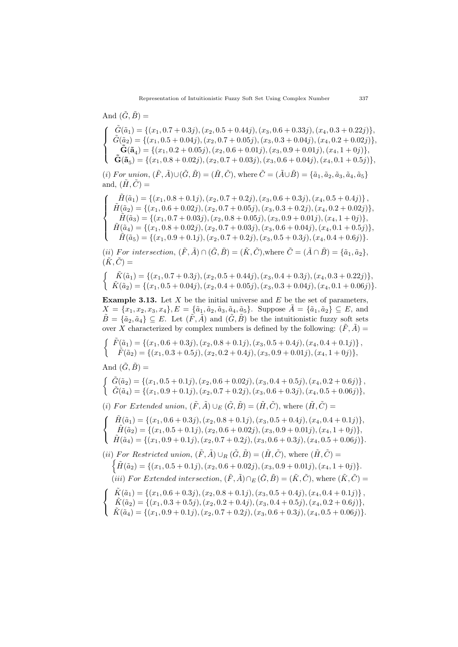And 
$$
(\tilde{G}, \tilde{B})
$$
 =  
\n
$$
\begin{cases}\n\tilde{G}(\tilde{a}_1) = \{ (x_1, 0.7 + 0.3j), (x_2, 0.5 + 0.44j), (x_3, 0.6 + 0.33j), (x_4, 0.3 + 0.22j) \}, \\
\tilde{G}(\tilde{a}_2) = \{ (x_1, 0.5 + 0.04j), (x_2, 0.7 + 0.05j), (x_3, 0.3 + 0.04j), (x_4, 0.2 + 0.02j) \}, \\
\tilde{G}(\tilde{a}_4) = \{ (x_1, 0.2 + 0.05j), (x_2, 0.6 + 0.01j), (x_3, 0.9 + 0.01j), (x_4, 1 + 0j) \}, \\
\tilde{G}(\tilde{a}_5) = \{ (x_1, 0.8 + 0.02j), (x_2, 0.7 + 0.03j), (x_3, 0.6 + 0.04j), (x_4, 0.1 + 0.5j) \},\n\end{cases}
$$

(i) For union,  $(\tilde{F}, \tilde{A}) \cup (\tilde{G}, \tilde{B}) = (\tilde{H}, \tilde{C})$ , where  $\tilde{C} = (\tilde{A} \cup \tilde{B}) = {\tilde{a}_1, \tilde{a}_2, \tilde{a}_3, \tilde{a}_4, \tilde{a}_5}$ and,  $(\tilde{H}, \tilde{C}) =$ 

$$
\left\{\begin{array}{c} \tilde{H}(\tilde{a}_1)=\{(x_1,0.8+0.1j),(x_2,0.7+0.2j),(x_3,0.6+0.3j),(x_4,0.5+0.4j)\},\\ \tilde{H}(\tilde{a}_2)=\{(x_1,0.6+0.02j),(x_2,0.7+0.05j),(x_3,0.3+0.2j),(x_4,0.2+0.02j)\},\\ \tilde{H}(\tilde{a}_3)=\{(x_1,0.7+0.03j),(x_2,0.8+0.05j),(x_3,0.9+0.01j),(x_4,1+0j)\},\\ \tilde{H}(\tilde{a}_4)=\{(x_1,0.8+0.02j),(x_2,0.7+0.03j),(x_3,0.6+0.04j),(x_4,0.1+0.5j)\},\\ \tilde{H}(\tilde{a}_5)=\{(x_1,0.9+0.1j),(x_2,0.7+0.2j),(x_3,0.5+0.3j),(x_4,0.4+0.6j)\}. \end{array}\right.
$$

(ii) For intersection,  $(\tilde{F}, \tilde{A}) \cap (\tilde{G}, \tilde{B}) = (\tilde{K}, \tilde{C})$ , where  $\tilde{C} = (\tilde{A} \cap \tilde{B}) = {\tilde{a}_1, \tilde{a}_2}$ ,  $(\tilde{K}, \tilde{C}) =$ 

$$
\begin{cases}\n\tilde{K}(\tilde{a}_1) = \{ (x_1, 0.7 + 0.3j), (x_2, 0.5 + 0.44j), (x_3, 0.4 + 0.3j), (x_4, 0.3 + 0.22j) \}, \\
\tilde{K}(\tilde{a}_2) = \{ (x_1, 0.5 + 0.04j), (x_2, 0.4 + 0.05j), (x_3, 0.3 + 0.04j), (x_4, 0.1 + 0.06j) \}.\n\end{cases}
$$

**Example 3.13.** Let *X* be the initial universe and *E* be the set of parameters,  $X = \{x_1, x_2, x_3, x_4\}, E = \{\tilde{a}_1, \tilde{a}_2, \tilde{a}_3, \tilde{a}_4, \tilde{a}_5\}.$  Suppose  $\tilde{A} = \{\tilde{a}_1, \tilde{a}_2\} \subseteq E$ , and  $\tilde{B} = \{\tilde{a}_2, \tilde{a}_4\} \subseteq E$ . Let  $(\tilde{F}, \tilde{A})$  and  $(\tilde{G}, \tilde{B})$  be the intuitionistic fuzzy soft sets over *X* characterized by complex numbers is defined by the following:  $(\tilde{F}, \tilde{A}) =$ 

$$
\begin{cases}\n\tilde{F}(\tilde{a}_1) = \{(x_1, 0.6 + 0.3j), (x_2, 0.8 + 0.1j), (x_3, 0.5 + 0.4j), (x_4, 0.4 + 0.1j)\}, \\
\tilde{F}(\tilde{a}_2) = \{(x_1, 0.3 + 0.5j), (x_2, 0.2 + 0.4j), (x_3, 0.9 + 0.01j), (x_4, 1 + 0j)\},\n\end{cases}
$$

And  $(\tilde{G}, \tilde{B}) =$ 

$$
\begin{cases}\n\tilde{G}(\tilde{a}_2) = \{(x_1, 0.5 + 0.1j), (x_2, 0.6 + 0.02j), (x_3, 0.4 + 0.5j), (x_4, 0.2 + 0.6j)\}, \\
\tilde{G}(\tilde{a}_4) = \{(x_1, 0.9 + 0.1j), (x_2, 0.7 + 0.2j), (x_3, 0.6 + 0.3j), (x_4, 0.5 + 0.06j)\},\n\end{cases}
$$

 $(i)$  *For Extended union,*  $(\tilde{F}, \tilde{A}) \cup_E (\tilde{G}, \tilde{B}) = (\tilde{H}, \tilde{C})$ , where  $(\tilde{H}, \tilde{C}) =$ 

$$
\left\{\begin{array}{c}\tilde{H}(\tilde{a}_1)=\{(x_1,0.6+0.3j),(x_2,0.8+0.1j),(x_3,0.5+0.4j),(x_4,0.4+0.1j)\},\\ \tilde{H}(\tilde{a}_2)=\{(x_1,0.5+0.1j),(x_2,0.6+0.02j),(x_3,0.9+0.01j),(x_4,1+0j)\},\\ \tilde{H}(\tilde{a}_4)=\{(x_1,0.9+0.1j),(x_2,0.7+0.2j),(x_3,0.6+0.3j),(x_4,0.5+0.06j)\}.\end{array}\right.
$$

 $(i)$  *For Restricted union,*  $(\tilde{F}, \tilde{A}) \cup_R (\tilde{G}, \tilde{B}) = (\tilde{H}, \tilde{C})$ , where  $(\tilde{H}, \tilde{C}) =$  $\{\tilde{H}(\tilde{a}_2) = \{(x_1, 0.5 + 0.1j), (x_2, 0.6 + 0.02j), (x_3, 0.9 + 0.01j), (x_4, 1 + 0j)\}.$  $(iii)$  *For Extended intersection*,  $(\tilde{F}, \tilde{A}) \cap_E (\tilde{G}, \tilde{B}) = (\tilde{K}, \tilde{C})$ , where  $(\tilde{K}, \tilde{C}) =$ 

$$
\begin{cases}\n\tilde{K}(\tilde{a}_1) = \{(x_1, 0.6 + 0.3j), (x_2, 0.8 + 0.1j), (x_3, 0.5 + 0.4j), (x_4, 0.4 + 0.1j)\}, \\
\tilde{K}(\tilde{a}_2) = \{(x_1, 0.3 + 0.5j), (x_2, 0.2 + 0.4j), (x_3, 0.4 + 0.5j), (x_4, 0.2 + 0.6j)\}, \\
\tilde{K}(\tilde{a}_4) = \{(x_1, 0.9 + 0.1j), (x_2, 0.7 + 0.2j), (x_3, 0.6 + 0.3j), (x_4, 0.5 + 0.06j)\}.\n\end{cases}
$$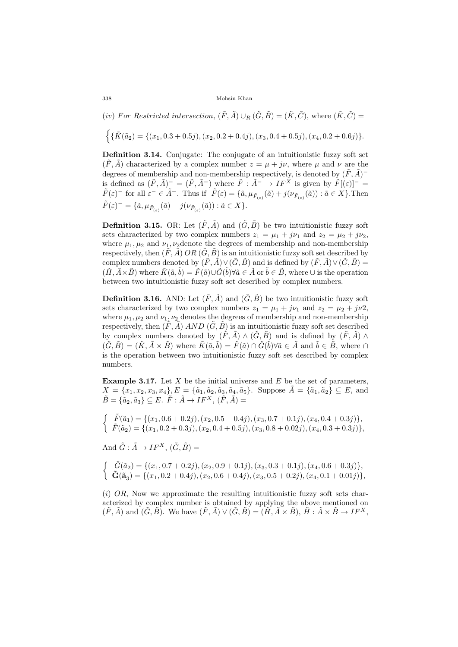(*iv*) *For Restricted intersection,*  $(\tilde{F}, \tilde{A}) \cup_R (\tilde{G}, \tilde{B}) = (\tilde{K}, \tilde{C})$ *, where*  $(\tilde{K}, \tilde{C}) =$ 

 $\left\{\{\tilde{K}(\tilde{a}_2) = \{(x_1, 0.3 + 0.5j), (x_2, 0.2 + 0.4j), (x_3, 0.4 + 0.5j), (x_4, 0.2 + 0.6j)\}\right\}.$ 

**Definition 3.14.** Conjugate: The conjugate of an intuitionistic fuzzy soft set  $(\tilde{F}, \tilde{A})$  characterized by a complex number  $z = \mu + i\nu$ , where  $\mu$  and  $\nu$  are the degrees of membership and non-membership respectively, is denoted by  $(\tilde{F}, \tilde{A})^$ is defined as  $(\tilde{F}, \tilde{A})^{-} = (\tilde{F}, \tilde{A}^{-})$  where  $\tilde{F}: \tilde{A}^{-} \to I F^X$  is given by  $\tilde{F}[(\varepsilon)]^{-} =$  $\tilde{F}(\varepsilon)^{-}$  for all  $\varepsilon^{-} \in \tilde{A}^{-}$ . Thus if  $\tilde{F}(\varepsilon) = {\tilde{a}, \mu_{\tilde{F}_{(\varepsilon)}}(\tilde{a}) + j(\nu_{\tilde{F}_{(\varepsilon)}}(\tilde{a})) : \tilde{a} \in X}$ . Then  $\tilde{F}(\varepsilon)^{-} = {\{\tilde{a}, \mu_{\tilde{F}_{(\varepsilon)}}(\tilde{a}) - j(\nu_{\tilde{F}_{(\varepsilon)}}(\tilde{a})): \tilde{a} \in X\}}.$ 

**Definition 3.15.** OR: Let  $(\tilde{F}, \tilde{A})$  and  $(\tilde{G}, \tilde{B})$  be two intuitionistic fuzzy soft sets characterized by two complex numbers  $z_1 = \mu_1 + j\nu_1$  and  $z_2 = \mu_2 + j\nu_2$ , where  $\mu_1, \mu_2$  and  $\nu_1, \nu_2$  denote the degrees of membership and non-membership respectively, then  $(\tilde{F}, \tilde{A})$  *OR*  $(\tilde{G}, \tilde{B})$  is an intuitionistic fuzzy soft set described by complex numbers denoted by  $(\tilde{F}, \tilde{A}) \vee (\tilde{G}, \tilde{B})$  and is defined by  $(\tilde{F}, \tilde{A}) \vee (\tilde{G}, \tilde{B}) =$  $(\tilde{H}, \tilde{A} \times \tilde{B})$  where  $\tilde{K}(\tilde{a}, \tilde{b}) = \tilde{F}(\tilde{a}) \cup \tilde{G}(\tilde{b}) \forall \tilde{a} \in \tilde{A}$  or  $\tilde{b} \in \tilde{B}$ , where  $\cup$  is the operation between two intuitionistic fuzzy soft set described by complex numbers.

**Definition 3.16.** AND: Let  $(\tilde{F}, \tilde{A})$  and  $(\tilde{G}, \tilde{B})$  be two intuitionistic fuzzy soft sets characterized by two complex numbers  $z_1 = \mu_1 + j\nu_1$  and  $z_2 = \mu_2 + j\nu_2$ , where  $\mu_1, \mu_2$  and  $\nu_1, \nu_2$  denotes the degrees of membership and non-membership respectively, then  $(\tilde{F}, \tilde{A})$  *AND*  $(\tilde{G}, \tilde{B})$  is an intuitionistic fuzzy soft set described by complex numbers denoted by  $(\tilde{F}, \tilde{A}) \wedge (\tilde{G}, \tilde{B})$  and is defined by  $(\tilde{F}, \tilde{A}) \wedge$  $(\tilde{G}, \tilde{B}) = (\tilde{K}, \tilde{A} \times \tilde{B})$  where  $\tilde{K}(\tilde{a}, \tilde{b}) = \tilde{F}(\tilde{a}) \cap \tilde{G}(\tilde{b}) \forall \tilde{a} \in \tilde{A}$  and  $\tilde{b} \in \tilde{B}$ , where  $\cap$ is the operation between two intuitionistic fuzzy soft set described by complex numbers.

**Example 3.17.** Let *X* be the initial universe and *E* be the set of parameters,  $X = \{x_1, x_2, x_3, x_4\}, E = \{\tilde{a}_1, \tilde{a}_2, \tilde{a}_3, \tilde{a}_4, \tilde{a}_5\}.$  Suppose  $\tilde{A} = \{\tilde{a}_1, \tilde{a}_2\} \subseteq E$ , and  $\tilde{B} = \{\tilde{a}_2, \tilde{a}_3\} \subseteq E$ .  $\tilde{F} : \tilde{A} \to I F^X$ ,  $(\tilde{F}, \tilde{A}) =$ 

$$
\begin{cases}\n\tilde{F}(\tilde{a}_1) = \{(x_1, 0.6 + 0.2j), (x_2, 0.5 + 0.4j), (x_3, 0.7 + 0.1j), (x_4, 0.4 + 0.3j)\}, \\
\tilde{F}(\tilde{a}_2) = \{(x_1, 0.2 + 0.3j), (x_2, 0.4 + 0.5j), (x_3, 0.8 + 0.02j), (x_4, 0.3 + 0.3j)\},\n\end{cases}
$$

And  $\tilde{G}$  :  $\tilde{A} \rightarrow IF^X$ ,  $(\tilde{G}, \tilde{B}) =$ 

$$
\begin{cases}\n\tilde{G}(\tilde{a}_2) = \{(x_1, 0.7 + 0.2j), (x_2, 0.9 + 0.1j), (x_3, 0.3 + 0.1j), (x_4, 0.6 + 0.3j)\}, \\
\tilde{G}(\tilde{a}_3) = \{(x_1, 0.2 + 0.4j), (x_2, 0.6 + 0.4j), (x_3, 0.5 + 0.2j), (x_4, 0.1 + 0.01j)\},\n\end{cases}
$$

(*i*) *OR*, Now we approximate the resulting intuitionistic fuzzy soft sets characterized by complex number is obtained by applying the above mentioned on  $(\tilde{F}, \tilde{A})$  and  $(\tilde{G}, \tilde{B})$ . We have  $(\tilde{F}, \tilde{A}) \vee (\tilde{G}, \tilde{B}) = (\tilde{H}, \tilde{A} \times \tilde{B}), \tilde{H} : \tilde{A} \times \tilde{B} \rightarrow I F^X$ ,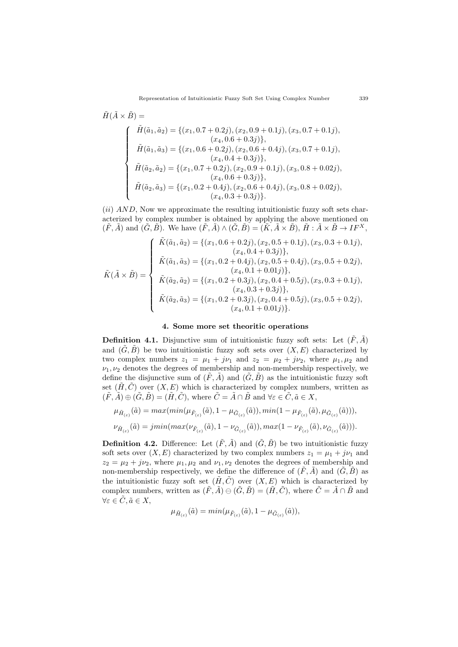$$
\tilde{H}(\tilde{A} \times \tilde{B}) =
$$
\n
$$
\begin{cases}\n\tilde{H}(\tilde{a}_1, \tilde{a}_2) = \{(x_1, 0.7 + 0.2j), (x_2, 0.9 + 0.1j), (x_3, 0.7 + 0.1j), (x_4, 0.6 + 0.3j)\}, \\
\tilde{H}(\tilde{a}_1, \tilde{a}_3) = \{(x_1, 0.6 + 0.2j), (x_2, 0.6 + 0.4j), (x_3, 0.7 + 0.1j), (x_4, 0.4 + 0.3j)\}, \\
\tilde{H}(\tilde{a}_2, \tilde{a}_2) = \{(x_1, 0.7 + 0.2j), (x_2, 0.9 + 0.1j), (x_3, 0.8 + 0.02j), (x_4, 0.6 + 0.3j)\}, \\
\tilde{H}(\tilde{a}_2, \tilde{a}_3) = \{(x_1, 0.2 + 0.4j), (x_2, 0.6 + 0.4j), (x_3, 0.8 + 0.02j), (x_4, 0.3 + 0.3j)\}.\n\end{cases}
$$

(*ii*) *AND*, Now we approximate the resulting intuitionistic fuzzy soft sets characterized by complex number is obtained by applying the above mentioned on  $(\tilde{F}, \tilde{A})$  and  $(\tilde{G}, \tilde{B})$ . We have  $(\tilde{F}, \tilde{A}) \wedge (\tilde{G}, \tilde{B}) = (\tilde{K}, \tilde{A} \times \tilde{B}), \tilde{H} : \tilde{A} \times \tilde{B} \rightarrow IF^X$ ,

$$
\tilde{K}(\tilde{A} \times \tilde{B}) = \begin{cases}\n\tilde{K}(\tilde{a}_1, \tilde{a}_2) = \{(x_1, 0.6 + 0.2j), (x_2, 0.5 + 0.1j), (x_3, 0.3 + 0.1j), (x_4, 0.4 + 0.3j)\}, \\
\tilde{K}(\tilde{a}_1, \tilde{a}_3) = \{(x_1, 0.2 + 0.4j), (x_2, 0.5 + 0.4j), (x_3, 0.5 + 0.2j), (x_4, 0.1 + 0.01j)\}, \\
\tilde{K}(\tilde{a}_2, \tilde{a}_2) = \{(x_1, 0.2 + 0.3j), (x_2, 0.4 + 0.5j), (x_3, 0.3 + 0.1j), (x_4, 0.3 + 0.3j)\}, \\
\tilde{K}(\tilde{a}_2, \tilde{a}_3) = \{(x_1, 0.2 + 0.3j), (x_2, 0.4 + 0.5j), (x_3, 0.5 + 0.2j), (x_4, 0.1 + 0.01j)\}.\n\end{cases}
$$

### **4. Some more set theoritic operations**

**Definition 4.1.** Disjunctive sum of intuitionistic fuzzy soft sets: Let  $(\tilde{F}, \tilde{A})$ and  $(\tilde{G}, \tilde{B})$  be two intuitionistic fuzzy soft sets over  $(X, E)$  characterized by two complex numbers  $z_1 = \mu_1 + j\nu_1$  and  $z_2 = \mu_2 + j\nu_2$ , where  $\mu_1, \mu_2$  and  $\nu_1, \nu_2$  denotes the degrees of membership and non-membership respectively, we define the disjunctive sum of  $(\tilde{F}, \tilde{A})$  and  $(\tilde{G}, \tilde{B})$  as the intuitionistic fuzzy soft set  $(\tilde{H}, \tilde{C})$  over  $(X, E)$  which is characterized by complex numbers, written as  $(\tilde{F}, \tilde{A}) \oplus (\tilde{G}, \tilde{B}) = (\tilde{H}, \tilde{C})$ , where  $\tilde{C} = \tilde{A} \cap \tilde{B}$  and  $\forall \varepsilon \in \tilde{C}, \tilde{a} \in X$ ,

$$
\mu_{\tilde{H}_{(\varepsilon)}}(\tilde{a}) = \max(\min(\mu_{\tilde{F}_{(\varepsilon)}}(\tilde{a}), 1 - \mu_{\tilde{G}_{(\varepsilon)}}(\tilde{a})), \min(1 - \mu_{\tilde{F}_{(\varepsilon)}}(\tilde{a}), \mu_{\tilde{G}_{(\varepsilon)}}(\tilde{a}))),
$$
  

$$
\nu_{\tilde{H}_{(\varepsilon)}}(\tilde{a}) = \min(\max(\nu_{\tilde{F}_{(\varepsilon)}}(\tilde{a}), 1 - \nu_{\tilde{G}_{(\varepsilon)}}(\tilde{a})), \max(1 - \nu_{\tilde{F}_{(\varepsilon)}}(\tilde{a}), \nu_{\tilde{G}_{(\varepsilon)}}(\tilde{a}))).
$$

**Definition 4.2.** Difference: Let  $(\tilde{F}, \tilde{A})$  and  $(\tilde{G}, \tilde{B})$  be two intuitionistic fuzzy soft sets over  $(X, E)$  characterized by two complex numbers  $z_1 = \mu_1 + j\nu_1$  and  $z_2 = \mu_2 + j\nu_2$ , where  $\mu_1, \mu_2$  and  $\nu_1, \nu_2$  denotes the degrees of membership and non-membership respectively, we define the difference of  $(\tilde{F}, \tilde{A})$  and  $(\tilde{G}, \tilde{B})$  as the intuitionistic fuzzy soft set  $(\tilde{H}, \tilde{C})$  over  $(X, E)$  which is characterized by complex numbers, written as  $(\tilde{F}, \tilde{A}) \ominus (\tilde{G}, \tilde{B}) = (\tilde{H}, \tilde{C})$ , where  $\tilde{C} = \tilde{A} \cap \tilde{B}$  and  $\forall \varepsilon \in \tilde{C}, \tilde{a} \in X,$ 

$$
\mu_{\tilde{H}_{(\varepsilon)}}(\tilde{a}) = \min(\mu_{\tilde{F}_{(\varepsilon)}}(\tilde{a}), 1 - \mu_{\tilde{G}_{(\varepsilon)}}(\tilde{a})),
$$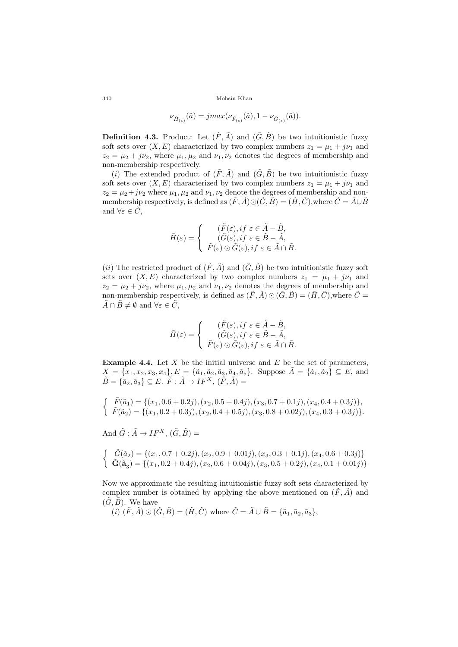$$
\nu_{\tilde{H}_{(\varepsilon)}}(\tilde{a}) = jmax(\nu_{\tilde{F}_{(\varepsilon)}}(\tilde{a}), 1 - \nu_{\tilde{G}_{(\varepsilon)}}(\tilde{a})).
$$

**Definition 4.3.** Product: Let  $(\tilde{F}, \tilde{A})$  and  $(\tilde{G}, \tilde{B})$  be two intuitionistic fuzzy soft sets over  $(X, E)$  characterized by two complex numbers  $z_1 = \mu_1 + j\nu_1$  and  $z_2 = \mu_2 + j\nu_2$ , where  $\mu_1, \mu_2$  and  $\nu_1, \nu_2$  denotes the degrees of membership and non-membership respectively.

(*i*) The extended product of  $(\tilde{F}, \tilde{A})$  and  $(\tilde{G}, \tilde{B})$  be two intuitionistic fuzzy soft sets over  $(X, E)$  characterized by two complex numbers  $z_1 = \mu_1 + i\nu_1$  and  $z_2 = \mu_2 + j\nu_2$  where  $\mu_1, \mu_2$  and  $\nu_1, \nu_2$  denote the degrees of membership and nonmembership respectively, is defined as  $(\tilde{F}, \tilde{A}) \odot (\tilde{G}, \tilde{B}) = (\tilde{H}, \tilde{C})$ , where  $\tilde{C} = \tilde{A} \cup \tilde{B}$ and  $\forall \varepsilon \in \tilde{C}$ ,

$$
\tilde{H}(\varepsilon) = \begin{cases}\n(\tilde{F}(\varepsilon), if \ \varepsilon \in \tilde{A} - \tilde{B}, \\
(\tilde{G}(\varepsilon), if \ \varepsilon \in \tilde{B} - \tilde{A}, \\
\tilde{F}(\varepsilon) \odot \tilde{G}(\varepsilon), if \ \varepsilon \in \tilde{A} \cap \tilde{B}.\n\end{cases}
$$

(*ii*) The restricted product of  $(\tilde{F}, \tilde{A})$  and  $(\tilde{G}, \tilde{B})$  be two intuitionistic fuzzy soft sets over  $(X, E)$  characterized by two complex numbers  $z_1 = \mu_1 + j\nu_1$  and  $z_2 = \mu_2 + j\nu_2$ , where  $\mu_1, \mu_2$  and  $\nu_1, \nu_2$  denotes the degrees of membership and non-membership respectively, is defined as  $(\tilde{F}, \tilde{A}) \odot (\tilde{G}, \tilde{B}) = (\tilde{H}, \tilde{C})$ , where  $\tilde{C} =$  $\tilde{A} \cap \tilde{B} \neq \emptyset$  and  $\forall \varepsilon \in \tilde{C}$ ,

$$
\tilde{H}(\varepsilon) = \begin{cases}\n(\tilde{F}(\varepsilon), if \varepsilon \in \tilde{A} - \tilde{B}, \\
(\tilde{G}(\varepsilon), if \varepsilon \in \tilde{B} - \tilde{A}, \\
\tilde{F}(\varepsilon) \odot \tilde{G}(\varepsilon), if \varepsilon \in \tilde{A} \cap \tilde{B}.\n\end{cases}
$$

**Example 4.4.** Let *X* be the initial universe and *E* be the set of parameters,  $X = \{x_1, x_2, x_3, x_4\}, E = \{\tilde{a}_1, \tilde{a}_2, \tilde{a}_3, \tilde{a}_4, \tilde{a}_5\}.$  Suppose  $\tilde{A} = \{\tilde{a}_1, \tilde{a}_2\} \subseteq E$ , and  $\tilde{B} = \{\tilde{a}_2, \tilde{a}_3\} \subseteq E$ .  $\tilde{F} : \tilde{A} \to I F^X$ ,  $(\tilde{F}, \tilde{A}) =$ 

$$
\begin{cases}\n\tilde{F}(\tilde{a}_1) = \{(x_1, 0.6 + 0.2j), (x_2, 0.5 + 0.4j), (x_3, 0.7 + 0.1j), (x_4, 0.4 + 0.3j)\}, \\
\tilde{F}(\tilde{a}_2) = \{(x_1, 0.2 + 0.3j), (x_2, 0.4 + 0.5j), (x_3, 0.8 + 0.02j), (x_4, 0.3 + 0.3j)\}.\n\end{cases}
$$

And  $\tilde{G}: \tilde{A} \to I F^X$ ,  $(\tilde{G}, \tilde{B}) =$ 

$$
\begin{cases}\n\tilde{G}(\tilde{a}_2) = \{(x_1, 0.7 + 0.2j), (x_2, 0.9 + 0.01j), (x_3, 0.3 + 0.1j), (x_4, 0.6 + 0.3j)\} \\
\tilde{G}(\tilde{a}_3) = \{(x_1, 0.2 + 0.4j), (x_2, 0.6 + 0.04j), (x_3, 0.5 + 0.2j), (x_4, 0.1 + 0.01j)\}\n\end{cases}
$$

Now we approximate the resulting intuitionistic fuzzy soft sets characterized by complex number is obtained by applying the above mentioned on  $(\tilde{F}, \tilde{A})$  and  $(\tilde{G}, \tilde{B})$ . We have

(i) 
$$
(\tilde{F}, \tilde{A}) \odot (\tilde{G}, \tilde{B}) = (\tilde{H}, \tilde{C})
$$
 where  $\tilde{C} = \tilde{A} \cup \tilde{B} = {\tilde{a}_1, \tilde{a}_2, \tilde{a}_3}$ ,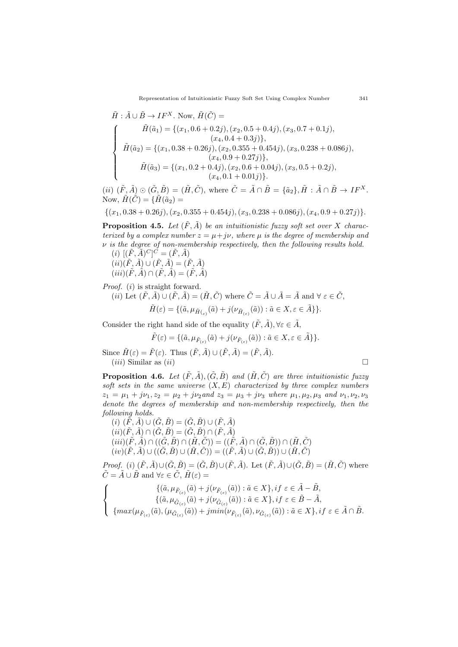$$
\tilde{H}: \tilde{A} \cup \tilde{B} \to IF^X. \text{ Now, } \tilde{H}(\tilde{C}) =
$$
\n
$$
\begin{cases}\n\tilde{H}(\tilde{a}_1) = \{(x_1, 0.6 + 0.2j), (x_2, 0.5 + 0.4j), (x_3, 0.7 + 0.1j), \\
(x_4, 0.4 + 0.3j)\}, \\
\tilde{H}(\tilde{a}_2) = \{(x_1, 0.38 + 0.26j), (x_2, 0.355 + 0.454j), (x_3, 0.238 + 0.086j), \\
(x_4, 0.9 + 0.27j)\}, \\
\tilde{H}(\tilde{a}_3) = \{(x_1, 0.2 + 0.4j), (x_2, 0.6 + 0.04j), (x_3, 0.5 + 0.2j), \\
(x_4, 0.1 + 0.01j)\}.\n\end{cases}
$$

(ii)  $(\tilde{F}, \tilde{A}) \odot (\tilde{G}, \tilde{B}) = (\tilde{H}, \tilde{C}),$  where  $\tilde{C} = \tilde{A} \cap \tilde{B} = {\tilde{a}_2}, \tilde{H} : \tilde{A} \cap \tilde{B} \to I F^X.$ Now,  $\tilde{H}(\tilde{C}) = \{ \tilde{H}(\tilde{a}_2) =$ 

$$
\{(x_1, 0.38 + 0.26j), (x_2, 0.355 + 0.454j), (x_3, 0.238 + 0.086j), (x_4, 0.9 + 0.27j)\}.
$$

**Proposition 4.5.** *Let*  $(\tilde{F}, \tilde{A})$  *be an intuitionistic fuzzy soft set over X characterized by a complex number*  $z = \mu + j\nu$ *, where*  $\mu$  *is the degree of membership and ν is the degree of non-membership respectively, then the following results hold.*

 $(i)$   $[(\tilde{F}, \tilde{A})^C]^C = (\tilde{F}, \tilde{A})$  $(iii)(\tilde{F}, \tilde{A}) \cup (\tilde{F}, \tilde{A}) = (\tilde{F}, \tilde{A})$  $(iii)(\tilde{F}, \tilde{A}) \cap (\tilde{F}, \tilde{A}) = (\tilde{F}, \tilde{A})$ 

*Proof.* (*i*) is straight forward.

(*ii*) Let 
$$
(\tilde{F}, \tilde{A}) \cup (\tilde{F}, \tilde{A}) = (\tilde{H}, \tilde{C})
$$
 where  $\tilde{C} = \tilde{A} \cup \tilde{A} = \tilde{A}$  and  $\forall \varepsilon \in \tilde{C}$ ,  
\n
$$
\tilde{H}(\varepsilon) = \{(\tilde{a}, \mu_{\tilde{H}(\varepsilon)}(\tilde{a}) + j(\nu_{\tilde{H}(\varepsilon)}(\tilde{a})): \tilde{a} \in X, \varepsilon \in \tilde{A}\}\}.
$$

Consider the right hand side of the equality  $(\tilde{F}, \tilde{A}), \forall \varepsilon \in \tilde{A}$ ,

$$
\tilde{F}(\varepsilon) = \{ (\tilde{a}, \mu_{\tilde{F}_{(\varepsilon)}}(\tilde{a}) + j(\nu_{\tilde{F}_{(\varepsilon)}}(\tilde{a})) : \tilde{a} \in X, \varepsilon \in \tilde{A} \} \}.
$$

Since  $\tilde{H}(\varepsilon) = \tilde{F}(\varepsilon)$ . Thus  $(\tilde{F}, \tilde{A}) \cup (\tilde{F}, \tilde{A}) = (\tilde{F}, \tilde{A})$ .  $(iii)$  Similar as  $(ii)$ 

**Proposition 4.6.** *Let*  $(\tilde{F}, \tilde{A}), (\tilde{G}, \tilde{B})$  *and*  $(\tilde{H}, \tilde{C})$  *are three intuitionistic fuzzy soft sets in the same universe* (*X, E*) *characterized by three complex numbers*  $z_1 = \mu_1 + i\nu_1, z_2 = \mu_2 + i\nu_2$  *and*  $z_3 = \mu_3 + i\nu_3$  *where*  $\mu_1, \mu_2, \mu_3$  *and*  $\nu_1, \nu_2, \nu_3$ *denote the degrees of membership and non-membership respectively, then the following holds.*

 $(i)$   $(\tilde{F}, \tilde{A}) \cup (\tilde{G}, \tilde{B}) = (\tilde{G}, \tilde{B}) \cup (\tilde{F}, \tilde{A})$  $(ii)(\tilde{F}, \tilde{A}) \cap (\tilde{G}, \tilde{B}) = (\tilde{G}, \tilde{B}) \cap (\tilde{F}, \tilde{A})$  $(iii)(\tilde{F}, \tilde{A}) \cap ((\tilde{G}, \tilde{B}) \cap (\tilde{H}, \tilde{C})) = ((\tilde{F}, \tilde{A}) \cap (\tilde{G}, \tilde{B})) \cap (\tilde{H}, \tilde{C})$  $(iv)(\tilde{F}, \tilde{A}) \cup ((\tilde{G}, \tilde{B}) \cup (\tilde{H}, \tilde{C})) = ((\tilde{F}, \tilde{A}) \cup (\tilde{G}, \tilde{B})) \cup (\tilde{H}, \tilde{C})$ 

*Proof.* (i)  $(\tilde{F}, \tilde{A}) \cup (\tilde{G}, \tilde{B}) = (\tilde{G}, \tilde{B}) \cup (\tilde{F}, \tilde{A})$ . Let  $(\tilde{F}, \tilde{A}) \cup (\tilde{G}, \tilde{B}) = (\tilde{H}, \tilde{C})$  where  $\tilde{C} = \tilde{A} \cup \tilde{B}$  and  $\forall \varepsilon \in \tilde{C}, \tilde{H}(\varepsilon) =$ 

$$
\label{eq:21} \left\{ \begin{array}{c} \{(\tilde{a},\mu_{\tilde{F}_{(\varepsilon)}}(\tilde{a})+j(\nu_{\tilde{F}_{(\varepsilon)}}(\tilde{a})): \tilde{a}\in X\}, if \ \varepsilon\in \tilde{A}-\tilde{B}, \\ \{(\tilde{a},\mu_{\tilde{G}_{(\varepsilon)}}(\tilde{a})+j(\nu_{\tilde{G}_{(\varepsilon)}}(\tilde{a})): \tilde{a}\in X\}, if \ \varepsilon\in \tilde{B}-\tilde{A}, \\ \{ \max(\mu_{\tilde{F}_{(\varepsilon)}}(\tilde{a}),(\mu_{\tilde{G}_{(\varepsilon)}}(\tilde{a}))+jmin(\nu_{\tilde{F}_{(\varepsilon)}}(\tilde{a}),\nu_{\tilde{G}_{(\varepsilon)}}(\tilde{a})): \tilde{a}\in X\}, if \ \varepsilon\in \tilde{A}\cap \tilde{B}. \end{array} \right.
$$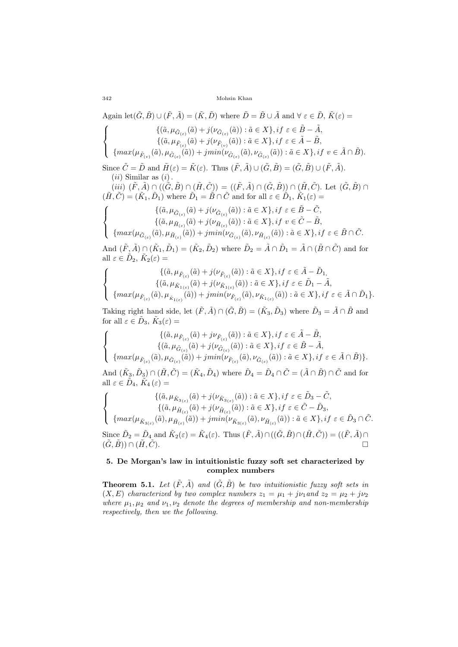Again  $\text{let}(\tilde{G}, \tilde{B}) \cup (\tilde{F}, \tilde{A}) = (\tilde{K}, \tilde{D})$  where  $\tilde{D} = \tilde{B} \cup \tilde{A}$  and  $\forall \varepsilon \in \tilde{D}, \tilde{K}(\varepsilon) =$  $\sqrt{ }$  $\bigg)$  $\overline{a}$  $\{(\tilde{a}, \mu_{\tilde{G}_{(\varepsilon)}}(\tilde{a}) + j(\nu_{\tilde{G}_{(\varepsilon)}}(\tilde{a})) : \tilde{a} \in X\}, if \varepsilon \in \tilde{B} - \tilde{A},\}$  $\{(\tilde{a}, \mu_{\tilde{F}_{(\varepsilon)}}(\tilde{a}) + j(\nu_{\tilde{F}_{(\nu)}}(\tilde{a})): \tilde{a} \in X\}, if \varepsilon \in \tilde{A} - \tilde{B},$  $\{ max(\mu_{\tilde{F}_{(v)}}(\tilde{a}), \mu_{\tilde{G}_{(\varepsilon)}}(\tilde{a})) + jmin(\nu_{\tilde{G}_{(\varepsilon)}}(\tilde{a}), \nu_{\tilde{G}_{(\varepsilon)}}(\tilde{a})) : \tilde{a} \in X \}, if \ v \in \tilde{A} \cap \tilde{B}).$ Since  $\tilde{C} = \tilde{D}$  and  $\tilde{H}(\varepsilon) = \tilde{K}(\varepsilon)$ . Thus  $(\tilde{F}, \tilde{A}) \cup (\tilde{G}, \tilde{B}) = (\tilde{G}, \tilde{B}) \cup (\tilde{F}, \tilde{A})$ . (*ii*) Similar as (*i*)*.*  $(iii)$   $(\tilde{F}, \tilde{A}) \cap ((\tilde{G}, \tilde{B}) \cap (\tilde{H}, \tilde{C})) = ((\tilde{F}, \tilde{A}) \cap (\tilde{G}, \tilde{B})) \cap (\tilde{H}, \tilde{C})$ . Let  $(\tilde{G}, \tilde{B}) \cap$  $(\tilde{H}, \tilde{C}) = (\tilde{K}_1, \tilde{D}_1)$  where  $\tilde{D}_1 = \tilde{B} \cap \tilde{C}$  and for all  $\varepsilon \in \tilde{D}_1$ ,  $\tilde{K}_1(\varepsilon) =$  $\sqrt{ }$  $\bigg)$  $\mathbf{I}$  $\{(\tilde{a}, \mu_{\tilde{G}_{(\varepsilon)}}(\tilde{a}) + j(\nu_{\tilde{G}_{(\varepsilon)}}(\tilde{a})) : \tilde{a} \in X\}, if \varepsilon \in \tilde{B} - \tilde{C},\}$  $\{(\tilde{a}, \mu_{\tilde{H}_{(\varepsilon)}}(\tilde{a}) + j(\nu_{\tilde{H}_{(\varepsilon)}}(\tilde{a})): \tilde{a} \in X\}, if \ v \in \tilde{C} - \tilde{B},$  $\{max(\mu_{\tilde{G}_{(\varepsilon)}}(\tilde{a}), \mu_{\tilde{H}_{(\varepsilon)}}(\tilde{a})) + jmin(\nu_{\tilde{G}_{(\varepsilon)}}(\tilde{a}), \nu_{\tilde{H}_{(\varepsilon)}}(\tilde{a})) : \tilde{a} \in X\}, if \varepsilon \in \tilde{B} \cap \tilde{C}.$ And  $(\tilde{F}, \tilde{A}) \cap (\tilde{K}_1, \tilde{D}_1) = (\tilde{K}_2, \tilde{D}_2)$  where  $\tilde{D}_2 = \tilde{A} \cap \tilde{D}_1 = \tilde{A} \cap (\tilde{B} \cap \tilde{C})$  and for all  $\varepsilon \in \tilde{D}_2$ ,  $\tilde{K}_2(\varepsilon) =$ 

$$
\label{eq:11} \left\{ \begin{array}{c} \{(\tilde{a},\mu_{\tilde{F}_{(\varepsilon)}}(\tilde{a})+j(\nu_{\tilde{F}_{(\varepsilon)}}(\tilde{a})): \tilde{a}\in X\}, if\ \varepsilon\in \tilde{A}-\tilde{D}_1, \\ \{(\tilde{a},\mu_{\tilde{K}_{1(\varepsilon)}}(\tilde{a})+j(\nu_{\tilde{K}_{1(\varepsilon)}}(\tilde{a})): \tilde{a}\in X\}, if\ \varepsilon\in \tilde{D}_1-\tilde{A}, \\ \{ \max(\mu_{\tilde{F}_{(\varepsilon)}}(\tilde{a}),\mu_{\tilde{K}_{1(\varepsilon)}}(\tilde{a}))+jmin(\nu_{\tilde{F}_{(\varepsilon)}}(\tilde{a}),\nu_{\tilde{K}_{1(\varepsilon)}}(\tilde{a})): \tilde{a}\in X\}, if\ \varepsilon\in \tilde{A}\cap \tilde{D}_1 \}. \end{array} \right.
$$

Taking right hand side, let  $(\tilde{F}, \tilde{A}) \cap (\tilde{G}, \tilde{B}) = (\tilde{K}_3, \tilde{D}_3)$  where  $\tilde{D}_3 = \tilde{A} \cap \tilde{B}$  and for all  $\varepsilon \in \tilde{D}_3$ ,  $\tilde{K}_3(\varepsilon) =$ 

$$
\label{eq:21} \left\{\begin{array}{c} \{(\tilde{a},\mu_{\tilde{F}_{(\varepsilon)}}(\tilde{a})+j\nu_{\tilde{F}_{(\varepsilon)}}(\tilde{a})): \tilde{a}\in X\}, if \ \varepsilon\in \tilde{A}-\tilde{B}, \\ \{(\tilde{a},\mu_{\tilde{G}_{(\varepsilon)}}(\tilde{a})+j(\nu_{\tilde{G}_{(\varepsilon)}}(\tilde{a})): \tilde{a}\in X\}, if \ \varepsilon\in \tilde{B}-\tilde{A}, \\ \{max(\mu_{\tilde{F}_{(\varepsilon)}}(\tilde{a}),\mu_{\tilde{G}_{(\varepsilon)}}(\tilde{a}))+jmin(\nu_{\tilde{F}_{(\varepsilon)}}(\tilde{a}),\nu_{\tilde{G}_{(\varepsilon)}}(\tilde{a})): \tilde{a}\in X\}, if \ \varepsilon\in \tilde{A}\cap \tilde{B})\}. \end{array}\right.
$$

And  $(\tilde{K}_3, \tilde{D}_3) \cap (\tilde{H}, \tilde{C}) = (\tilde{K}_4, \tilde{D}_4)$  where  $\tilde{D}_4 = \tilde{D}_4 \cap \tilde{C} = (\tilde{A} \cap \tilde{B}) \cap \tilde{C}$  and for all  $\varepsilon \in \tilde{D}_4$ ,  $\tilde{K}_4(\varepsilon) =$ 

$$
\label{eq:21} \left\{ \begin{array}{c} \{(\tilde{a},\mu_{\tilde{K}_{3(\varepsilon)}}(\tilde{a})+j(\nu_{\tilde{K}_{3(\varepsilon)}}(\tilde{a})): \tilde{a}\in X\}, if\ \varepsilon\in \tilde{D}_3-\tilde{C}, \\ \{(\tilde{a},\mu_{\tilde{H}_{(\varepsilon)}}(\tilde{a})+j(\nu_{\tilde{H}_{(\varepsilon)}}(\tilde{a})): \tilde{a}\in X\}, if\ \varepsilon\in \tilde{C}-\tilde{D}_3, \\ \{ \max(\mu_{\tilde{K}_{3(\varepsilon)}}(\tilde{a}),\mu_{\tilde{H}_{(\varepsilon)}}(\tilde{a}))+jmin(\nu_{\tilde{K}_{3(\varepsilon)}}(\tilde{a}),\nu_{\tilde{H}_{(\varepsilon)}}(\tilde{a})): \tilde{a}\in X\}, if\ \varepsilon\in \tilde{D}_3\cap \tilde{C}. \\ \text{Since}\ \tilde{D}_2=\tilde{D}_4 \ \text{and}\ \tilde{K}_2(\varepsilon)=\tilde{K}_4(\varepsilon). \ \ \text{Thus}\ (\tilde{F},\tilde{A})\cap ((\tilde{G},\tilde{B})\cap (\tilde{H},\tilde{C}))=((\tilde{F},\tilde{A})\cap \\ (\tilde{G},\tilde{B}))\cap (\tilde{H},\tilde{C}). \end{array} \right\}
$$

## **5. De Morgan's law in intuitionistic fuzzy soft set characterized by complex numbers**

**Theorem 5.1.** Let  $(\tilde{F}, \tilde{A})$  and  $(\tilde{G}, \tilde{B})$  be two intuitionistic fuzzy soft sets in  $(X, E)$  *characterized by two complex numbers*  $z_1 = \mu_1 + j\nu_1$  and  $z_2 = \mu_2 + j\nu_2$ *where*  $\mu_1, \mu_2$  *and*  $\nu_1, \nu_2$  *denote the degrees of membership and non-membership respectively, then we the following.*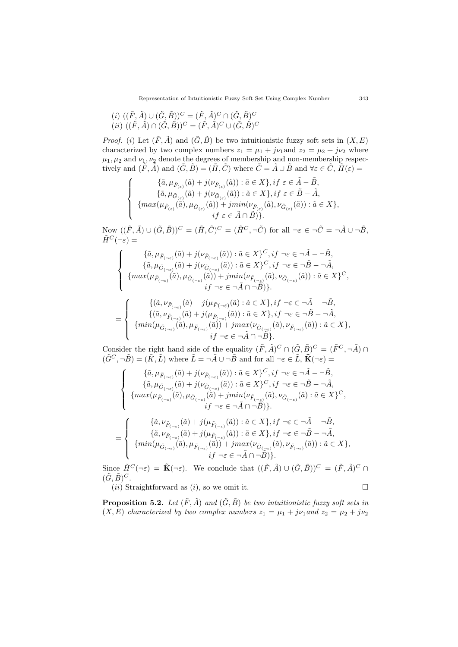$$
(i) \ ((\tilde{F}, \tilde{A}) \cup (\tilde{G}, \tilde{B}))^C = (\tilde{F}, \tilde{A})^C \cap (\tilde{G}, \tilde{B})^C
$$
  

$$
(ii) \ ((\tilde{F}, \tilde{A}) \cap (\tilde{G}, \tilde{B}))^C = (\tilde{F}, \tilde{A})^C \cup (\tilde{G}, \tilde{B})^C
$$

*Proof.* (*i*) Let  $(\tilde{F}, \tilde{A})$  and  $(\tilde{G}, \tilde{B})$  be two intuitionistic fuzzy soft sets in  $(X, E)$ characterized by two complex numbers  $z_1 = \mu_1 + j\nu_1$  and  $z_2 = \mu_2 + j\nu_2$  where  $\mu_1, \mu_2$  and  $\nu_1, \nu_2$  denote the degrees of membership and non-membership respectively and  $(\tilde{F}, \tilde{A})$  and  $(\tilde{G}, \tilde{B}) = (\tilde{H}, \tilde{C})$  where  $\tilde{C} = \tilde{A} \cup \tilde{B}$  and  $\forall \varepsilon \in \tilde{C}, \tilde{H}(\varepsilon) =$ 

$$
\left\{\begin{array}{c} \{\tilde{a},\mu_{\tilde{F}_{(\varepsilon)}}(\tilde{a})+j(\nu_{\tilde{F}_{(\varepsilon)}}(\tilde{a})): \tilde{a}\in X\},if\ \varepsilon\in \tilde{A}-\tilde{B},\\ \{\tilde{a},\mu_{\tilde{G}_{(\varepsilon)}}(\tilde{a})+j(\nu_{\tilde{G}_{(\varepsilon)}}(\tilde{a})): \tilde{a}\in X\},if\ \varepsilon\in \tilde{B}-\tilde{A},\\ \{max(\mu_{\tilde{F}_{(\varepsilon)}}(\tilde{a}),\mu_{\tilde{G}_{(\varepsilon)}}(\tilde{a}))+jmin(\nu_{\tilde{F}_{(\varepsilon)}}(\tilde{a}),\nu_{\tilde{G}_{(\varepsilon)}}(\tilde{a})): \tilde{a}\in X\},\\ if\ \varepsilon\in \tilde{A}\cap \tilde{B})\}.\end{array}\right.
$$

Now  $((\tilde{F}, \tilde{A}) \cup (\tilde{G}, \tilde{B}))^C = (\tilde{H}, \tilde{C})^C = (\tilde{H}^C, \neg \tilde{C})$  for all  $\neg \varepsilon \in \neg \tilde{C} = \neg \tilde{A} \cup \neg \tilde{B}$ ,  $\tilde{H}^C(\neg \varepsilon) =$ 

$$
\left\{\begin{array}{c} \{\tilde{a},\mu_{\tilde{F}_{(\neg\varepsilon)}}(\tilde{a})+j(\nu_{\tilde{F}_{(\neg\varepsilon)}}(\tilde{a})): \tilde{a}\in X\}^C, if\; \neg \varepsilon\in\neg \tilde{A}-\neg \tilde{B},\\ \{\tilde{a},\mu_{\tilde{G}_{(\neg \varepsilon)}}(\tilde{a})+j(\nu_{\tilde{G}_{(\neg \varepsilon)}}(\tilde{a})): \tilde{a}\in X\}^C, if\; \neg \varepsilon\in\neg \tilde{B}-\neg \tilde{A},\\ \{max(\mu_{\tilde{F}_{(\neg \varepsilon)}}(\tilde{a}),\mu_{\tilde{G}_{(\neg \varepsilon)}}(\tilde{a}))+jmin(\nu_{\tilde{F}_{(\neg \varepsilon)}}(\tilde{a}),\nu_{\tilde{G}_{(\neg \varepsilon)}}(\tilde{a})): \tilde{a}\in X\}^C,\\ if\; \neg \varepsilon\in\neg \tilde{A}\cap\neg B)\}. \end{array}\right.
$$

$$
= \left\{\begin{array}{c} \{(\tilde{a},\nu_{\tilde{F}(-\varepsilon)}(\tilde{a})+j(\mu_{\tilde{F}(\neg\varepsilon)}(\tilde{a}):\tilde{a}\in X\},if\ \neg\varepsilon\in\neg\tilde{A}-\neg\tilde{B},\\ \{(\tilde{a},\nu_{\tilde{F}(-\varepsilon)}(\tilde{a})+j(\mu_{\tilde{F}(\neg\varepsilon)}(\tilde{a})): \tilde{a}\in X\},if\ \neg\varepsilon\in\neg\tilde{B}-\neg\tilde{A},\\ \{min(\mu_{\tilde{G}(-\varepsilon)}(\tilde{a}),\mu_{\tilde{F}(\neg\varepsilon)}(\tilde{a}))+jmax(\nu_{\tilde{G}(\neg\varepsilon)}(\tilde{a}),\nu_{\tilde{F}(\neg\varepsilon)}(\tilde{a})): \tilde{a}\in X\},\\ if\ \neg\varepsilon\in\neg\tilde{A}\cap\neg\tilde{B}\}.\end{array}\right.
$$

Consider the right hand side of the equality  $(\tilde{F}, \tilde{A})^C \cap (\tilde{G}, \tilde{B})^C = (\tilde{F}^C, \neg \tilde{A}) \cap$  $(\tilde{G}^C, -\tilde{B}) = (\tilde{K}, \tilde{L})$  where  $\tilde{L} = -\tilde{A} \cup -\tilde{B}$  and for all  $\neg \varepsilon \in \tilde{L}, \tilde{K}(\neg \varepsilon) =$ 

$$
\left\{\begin{array}{c} \{\tilde{a},\mu_{\tilde{F}_{(-\varepsilon)}}(\tilde{a})+j(\nu_{\tilde{F}_{(-\varepsilon)}}(\tilde{a})): \tilde{a}\in X\}^C, if \; \neg \varepsilon\in\neg \tilde{A}-\neg \tilde{B}, \\ \{\tilde{a},\mu_{\tilde{G}_{(-\varepsilon)}}(\tilde{a})+j(\nu_{\tilde{G}_{(-\varepsilon)}}(\tilde{a})): \tilde{a}\in X\}^C, if \; \neg \varepsilon\in\neg \tilde{B}-\neg \tilde{A}, \\ \{max(\mu_{\tilde{F}_{(-\varepsilon)}}(\tilde{a}),\mu_{\tilde{G}_{(-\varepsilon)}}(\tilde{a})+jmin(\nu_{\tilde{F}_{(-\varepsilon)}}(\tilde{a}),\nu_{\tilde{G}_{(-\varepsilon)}}(\tilde{a}):\tilde{a}\in X\}^C, \\ if \; \neg \varepsilon\in\neg \tilde{A}\cap\neg \tilde{B})\}.\end{array}\right.
$$

$$
= \left\{\begin{array}{c} \{\tilde{a},\nu_{\tilde{F}_{(-\varepsilon)}}(\tilde{a})+j(\mu_{\tilde{F}_{(-\varepsilon)}}(\tilde{a})): \tilde{a}\in X\},if\,\,\neg \varepsilon\in \neg \tilde{A}-\neg \tilde{B},\\ \{\tilde{a},\nu_{\tilde{F}_{(-\varepsilon)}}(\tilde{a})+j(\mu_{\tilde{F}_{(-\varepsilon)}}(\tilde{a})): \tilde{a}\in X\},if\,\,\neg \varepsilon\in \neg \tilde{B}-\neg \tilde{A},\\ \{min(\mu_{\tilde{G}_{(-\varepsilon)}}(\tilde{a}),\mu_{\tilde{F}_{(-\varepsilon)}}(\tilde{a}))+jmax(\nu_{\tilde{G}_{(-\varepsilon)}}(\tilde{a}),\nu_{\tilde{F}_{(-\varepsilon)}}(\tilde{a})): \tilde{a}\in X\},\\ if\,\,\neg \varepsilon\in \neg \tilde{A}\cap \neg \tilde{B})\}. \end{array}\right.
$$

Since  $\tilde{H}^C(\neg \varepsilon) = \tilde{\mathbf{K}}(\neg \varepsilon)$ . We conclude that  $((\tilde{F}, \tilde{A}) \cup (\tilde{G}, \tilde{B}))^C = (\tilde{F}, \tilde{A})^C \cap \tilde{B}$  $(\tilde{G}, \tilde{B})^C$ .

(*ii*) Straightforward as (*i*), so we omit it.

$$
\qquad \qquad \Box
$$

**Proposition 5.2.** *Let*  $(\tilde{F}, \tilde{A})$  *and*  $(\tilde{G}, \tilde{B})$  *be two intuitionistic fuzzy soft sets in*  $(X, E)$  *characterized by two complex numbers*  $z_1 = \mu_1 + j\nu_1$  and  $z_2 = \mu_2 + j\nu_2$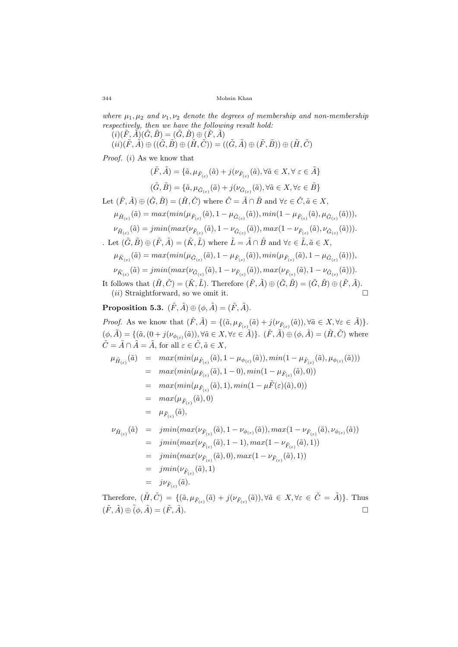*where*  $\mu_1, \mu_2$  *and*  $\nu_1, \nu_2$  *denote the degrees of membership and non-membership respectively, then we have the following result hold:*

 $(i)(\tilde{F}, \tilde{A})(\tilde{G}, \tilde{B}) = (\tilde{G}, \tilde{B}) \oplus (\tilde{F}, \tilde{A})$  $(ii)(\tilde{F}, \tilde{A}) \oplus ((\tilde{G}, \tilde{B}) \oplus (\tilde{H}, \tilde{C})) = ((\tilde{G}, \tilde{A}) \oplus (\tilde{F}, \tilde{B})) \oplus (\tilde{H}, \tilde{C})$ 

*Proof.* (*i*) As we know that

$$
\begin{aligned} (\tilde{F},\tilde{A})=\{\tilde{a},\mu_{\tilde{F}_{(\varepsilon)}}(\tilde{a})+j(\nu_{\tilde{F}_{(\varepsilon)}}(\tilde{a}),\forall \tilde{a}\in X,\forall\; \varepsilon\in \tilde{A}\}\\ (\tilde{G},\tilde{B})=\{\tilde{a},\mu_{\tilde{G}_{(\varepsilon)}}(\tilde{a})+j(\nu_{\tilde{G}_{(\varepsilon)}}(\tilde{a}),\forall \tilde{a}\in X,\forall \varepsilon\in \tilde{B}\}\end{aligned}
$$

Let  $(\tilde{F}, \tilde{A}) \oplus (\tilde{G}, \tilde{B}) = (\tilde{H}, \tilde{C})$  where  $\tilde{C} = \tilde{A} \cap \tilde{B}$  and  $\forall \varepsilon \in \tilde{C}, \tilde{a} \in X$ ,

$$
\mu_{\tilde{H}_{(\varepsilon)}}(\tilde{a}) = \max(\min(\mu_{\tilde{F}_{(\varepsilon)}}(\tilde{a}), 1 - \mu_{\tilde{G}_{(\varepsilon)}}(\tilde{a})), \min(1 - \mu_{\tilde{F}_{(\varepsilon)}}(\tilde{a}), \mu_{\tilde{G}_{(\varepsilon)}}(\tilde{a}))),
$$
  

$$
\nu_{\tilde{H}_{(\varepsilon)}}(\tilde{a}) = \min(\max(\nu_{\tilde{F}_{(\varepsilon)}}(\tilde{a}), 1 - \nu_{\tilde{G}_{(\varepsilon)}}(\tilde{a})), \max(1 - \nu_{\tilde{F}_{(\varepsilon)}}(\tilde{a}), \nu_{\tilde{G}_{(\varepsilon)}}(\tilde{a}))).
$$

. Let 
$$
(\tilde{G}, \tilde{B}) \oplus (\tilde{F}, \tilde{A}) = (\tilde{K}, \tilde{L})
$$
 where  $\tilde{L} = \tilde{A} \cap \tilde{B}$  and  $\forall \varepsilon \in \tilde{L}, \tilde{a} \in X$ ,

$$
\mu_{\tilde{K}_{(\varepsilon)}}(\tilde{a}) = \max(\min(\mu_{\tilde{G}_{(\varepsilon)}}(\tilde{a}), 1 - \mu_{\tilde{F}_{(\varepsilon)}}(\tilde{a})), \min(\mu_{\tilde{F}_{(\varepsilon)}}(\tilde{a}), 1 - \mu_{\tilde{G}_{(\varepsilon)}}(\tilde{a}))),
$$

$$
\nu_{\tilde{K}_{(\varepsilon)}}(\tilde{a}) = jmin(max(\nu_{\tilde{G}_{(\varepsilon)}}(\tilde{a}), 1 - \nu_{\tilde{F}_{(\varepsilon)}}(\tilde{a})), max(\nu_{\tilde{F}_{(\varepsilon)}}(\tilde{a}), 1 - \nu_{\tilde{G}_{(\varepsilon)}}(\tilde{a}))).
$$

It follows that  $(\tilde{H}, \tilde{C}) = (\tilde{K}, \tilde{L})$ . Therefore  $(\tilde{F}, \tilde{A}) \oplus (\tilde{G}, \tilde{B}) = (\tilde{G}, \tilde{B}) \oplus (\tilde{F}, \tilde{A})$ . (*ii*) Straightforward, so we omit it.

**Proposition 5.3.**  $(\tilde{F}, \tilde{A}) \oplus (\phi, \tilde{A}) = (\tilde{F}, \tilde{A})$ .

*Proof.* As we know that  $(\tilde{F}, \tilde{A}) = \{(\tilde{a}, \mu_{\tilde{F}_{(\varepsilon)}}(\tilde{a}) + j(\nu_{\tilde{F}_{(\varepsilon)}}(\tilde{a})), \forall \tilde{a} \in X, \forall \varepsilon \in \tilde{A})\}.$  $(\phi, \tilde{A}) = \{(\tilde{a}, (0 + j(\nu_{\phi_{(\varepsilon)}}(\tilde{a})), \forall \tilde{a} \in X, \forall \varepsilon \in \tilde{A})\}\.$   $(\tilde{F}, \tilde{A}) \oplus (\phi, \tilde{A}) = (\tilde{H}, \tilde{C})$  where  $\tilde{C} = \tilde{A} \cap \tilde{A} = \tilde{A}$ , for all  $\varepsilon \in \tilde{C}, \tilde{a} \in X$ ,

$$
\mu_{\tilde{H}_{(\varepsilon)}}(\tilde{a}) = \max(\min(\mu_{\tilde{F}_{(\varepsilon)}}(\tilde{a}), 1 - \mu_{\phi_{(\varepsilon)}}(\tilde{a})), \min(1 - \mu_{\tilde{F}_{(\varepsilon)}}(\tilde{a}), \mu_{\phi_{(\varepsilon)}}(\tilde{a})))
$$
  
\n
$$
= \max(\min(\mu_{\tilde{F}_{(\varepsilon)}}(\tilde{a}), 1 - 0), \min(1 - \mu_{\tilde{F}_{(\varepsilon)}}(\tilde{a}), 0))
$$
  
\n
$$
= \max(\min(\mu_{\tilde{F}_{(\varepsilon)}}(\tilde{a}), 1), \min(1 - \mu \tilde{F}(\varepsilon)(\tilde{a}), 0))
$$
  
\n
$$
= \max(\mu_{\tilde{F}_{(\varepsilon)}}(\tilde{a}), 0)
$$
  
\n
$$
= \mu_{\tilde{F}_{(\varepsilon)}}(\tilde{a}),
$$

$$
\nu_{\tilde{H}_{(\varepsilon)}}(\tilde{a}) = jmin(max(\nu_{\tilde{F}_{(\varepsilon)}}(\tilde{a}), 1 - \nu_{\phi_{(\varepsilon)}}(\tilde{a})), max(1 - \nu_{\tilde{F}_{(\varepsilon)}}(\tilde{a}), \nu_{\phi_{(\varepsilon)}}(\tilde{a}))
$$
  
\n
$$
= jmin(max(\nu_{\tilde{F}_{(\varepsilon)}}(\tilde{a}), 1 - 1), max(1 - \nu_{\tilde{F}_{(\varepsilon)}}(\tilde{a}), 1))
$$
  
\n
$$
= jmin(max(\nu_{\tilde{F}_{(\varepsilon)}}(\tilde{a}), 0), max(1 - \nu_{\tilde{F}_{(\varepsilon)}}(\tilde{a}), 1))
$$
  
\n
$$
= jmin(\nu_{\tilde{F}_{(\varepsilon)}}(\tilde{a}), 1)
$$
  
\n
$$
= j\nu_{\tilde{F}_{(\varepsilon)}}(\tilde{a}).
$$

Therefore,  $(\tilde{H}, \tilde{C}) = \{(\tilde{a}, \mu_{\tilde{F}_{(\varepsilon)}}(\tilde{a}) + j(\nu_{\tilde{F}_{(\varepsilon)}}(\tilde{a})), \forall \tilde{a} \in X, \forall \varepsilon \in \tilde{C} = \tilde{A})\}.$  Thus  $(\tilde{F}, \tilde{A}) \oplus (\phi, \tilde{A}) = (\tilde{F}, \tilde{A}).$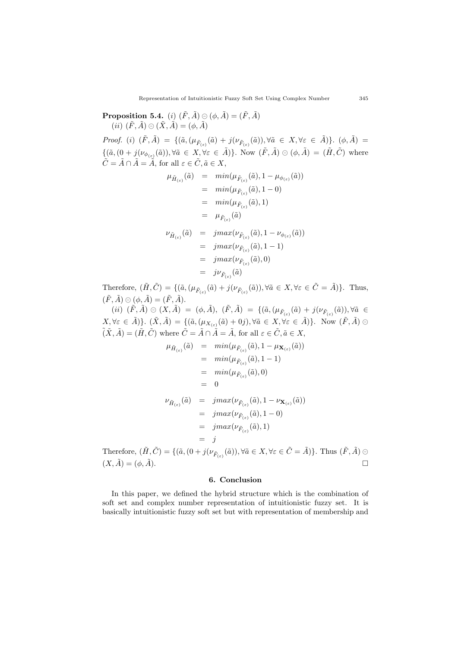**Proposition 5.4.** (*i*)  $(\tilde{F}, \tilde{A}) \oplus (\phi, \tilde{A}) = (\tilde{F}, \tilde{A})$  $(iii)$   $(\tilde{F}, \tilde{A}) \oplus (\tilde{X}, \tilde{A}) = (\phi, \tilde{A})$ *Proof.* (i)  $(\tilde{F}, \tilde{A}) = \{(\tilde{a}, (\mu_{\tilde{F}_{(\varepsilon)}}(\tilde{a}) + j(\nu_{\tilde{F}_{(\varepsilon)}}(\tilde{a})), \forall \tilde{a} \in X, \forall \varepsilon \in \tilde{A})\}.$  ( $\phi, \tilde{A}) =$  $\{(\tilde{a}, (0+j(\nu_{\phi_{(\varepsilon)}}(\tilde{a})), \forall \tilde{a} \in X, \forall \varepsilon \in \tilde{A})\}\)$ . Now  $(\tilde{F}, \tilde{A}) \odot (\phi, \tilde{A}) = (\tilde{H}, \tilde{C})$  where  $\tilde{C} = \tilde{A} \cap \tilde{A} = \tilde{A}$ , for all  $\varepsilon \in \tilde{C}, \tilde{a} \in X$ ,  $\mu_{\tilde{H}_{(\varepsilon)}}(\tilde{a}) = min(\mu_{\tilde{F}_{(\varepsilon)}}(\tilde{a}), 1 - \mu_{\phi_{(\varepsilon)}}(\tilde{a}))$  $= \ min(\mu_{\tilde{F}_{(\varepsilon)}}(\tilde{a}), 1-0)$ 

$$
= min(\mu_{\tilde{F}_{(\varepsilon)}}(\tilde{a}), 1)
$$
  
\n
$$
= \mu_{\tilde{F}_{(\varepsilon)}}(\tilde{a})
$$
  
\n
$$
\nu_{\tilde{H}_{(\varepsilon)}}(\tilde{a}) = jmax(\nu_{\tilde{F}_{(\varepsilon)}}(\tilde{a}), 1 - \nu_{\phi_{(\varepsilon)}}(\tilde{a}))
$$
  
\n
$$
= jmax(\nu_{\tilde{F}_{(\varepsilon)}}(\tilde{a}), 1 - 1)
$$
  
\n
$$
= jmax(\nu_{\tilde{F}_{(\varepsilon)}}(\tilde{a}), 0)
$$
  
\n
$$
= j\nu_{\tilde{F}_{(\varepsilon)}}(\tilde{a})
$$

Therefore,  $(\tilde{H}, \tilde{C}) = \{(\tilde{a}, (\mu_{\tilde{F}_{(\varepsilon)}}(\tilde{a}) + j(\nu_{\tilde{F}_{(\varepsilon)}}(\tilde{a})), \forall \tilde{a} \in X, \forall \varepsilon \in \tilde{C} = \tilde{A})\}.$  Thus,  $(\tilde{F}, \tilde{A}) \oplus (\phi, \tilde{A}) = (\tilde{F}, \tilde{A}).$ 

 $(ii)$   $(\tilde{F}, \tilde{A}) \oplus (X, \tilde{A}) = (\phi, \tilde{A}),$   $(\tilde{F}, \tilde{A}) = \{(\tilde{a}, (\mu_{\tilde{F}_{(\varepsilon)}}(\tilde{a}) + j(\nu_{\tilde{F}_{(\varepsilon)}}(\tilde{a})), \forall \tilde{a} \in$  $(X, \forall \varepsilon \in \tilde{A})\}\right\\cdot (\tilde{X}, \tilde{A}) = \{(\tilde{a}, (\mu_{X_{(\varepsilon)}}(\tilde{a}) + 0j), \forall \tilde{a} \in X, \forall \varepsilon \in \tilde{A})\}\right\}.$  Now  $(\tilde{F}, \tilde{A}) \in$  $(\tilde{X}, \tilde{A}) = (\tilde{H}, \tilde{C})$  where  $\tilde{C} = \tilde{A} \cap \tilde{A} = \tilde{A}$ , for all  $\varepsilon \in \tilde{C}, \tilde{a} \in X$ ,

$$
\mu_{\tilde{H}_{(\varepsilon)}}(\tilde{a}) = \min(\mu_{\tilde{F}_{(\varepsilon)}}(\tilde{a}), 1 - \mu_{\mathbf{X}_{(\varepsilon)}}(\tilde{a}))
$$
\n
$$
= \min(\mu_{\tilde{F}_{(\varepsilon)}}(\tilde{a}), 1 - 1)
$$
\n
$$
= \min(\mu_{\tilde{F}_{(\varepsilon)}}(\tilde{a}), 0)
$$
\n
$$
= 0
$$
\n
$$
\nu_{\tilde{H}_{(\varepsilon)}}(\tilde{a}) = \hat{j} \max(\nu_{\tilde{F}_{(\varepsilon)}}(\tilde{a}), 1 - \nu_{\mathbf{X}_{(\varepsilon)}}(\tilde{a}))
$$
\n
$$
= \hat{j} \max(\nu_{\tilde{F}_{(\varepsilon)}}(\tilde{a}), 1 - 0)
$$
\n
$$
= \hat{j} \max(\nu_{\tilde{F}_{(\varepsilon)}}(\tilde{a}), 1)
$$
\n
$$
= \hat{j}
$$
\n
$$
\tilde{H}_{(\varepsilon)}(\tilde{a}) = \hat{j}
$$
\n
$$
\tilde{H}_{(\varepsilon)}(\tilde{a}) = \hat{j} \quad \text{and} \quad \tilde{H}_{(\varepsilon)}(\tilde{a}) = \hat{j}
$$
\n
$$
\tilde{H}_{(\varepsilon)}(\tilde{a}) = \hat{j} \quad \text{and} \quad \tilde{H}_{(\varepsilon)}(\tilde{a}) = \hat{H}_{(\varepsilon)}(\tilde{a}) \quad \forall \tilde{a} \in X \quad \forall \varepsilon \in \tilde{C} = \tilde{A}
$$

Therefore,  $(\tilde{H}, \tilde{C}) = \{(\tilde{a}, (0 + j(\nu_{\tilde{F}_{(\varepsilon)}}(\tilde{a})), \forall \tilde{a} \in X, \forall \varepsilon \in \tilde{C} = \tilde{A})\}\.$  Thus  $(\tilde{F}, \tilde{A}) \oplus$  $(X, \tilde{A}) = (\phi, \tilde{A}).$ 

## **6. Conclusion**

In this paper, we defined the hybrid structure which is the combination of soft set and complex number representation of intuitionistic fuzzy set. It is basically intuitionistic fuzzy soft set but with representation of membership and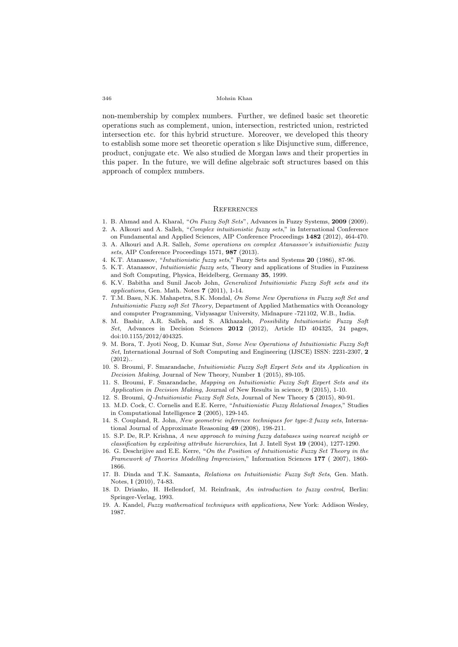non-membership by complex numbers. Further, we defined basic set theoretic operations such as complement, union, intersection, restricted union, restricted intersection etc. for this hybrid structure. Moreover, we developed this theory to establish some more set theoretic operation s like Disjunctive sum, difference, product, conjugate etc. We also studied de Morgan laws and their properties in this paper. In the future, we will define algebraic soft structures based on this approach of complex numbers.

#### **REFERENCES**

- 1. B. Ahmad and A. Kharal, "*On Fuzzy Soft Sets*", Advances in Fuzzy Systems, **2009** (2009).
- 2. A. Alkouri and A. Salleh, "*Complex intuitionistic fuzzy sets*," in International Conference on Fundamental and Applied Sciences, AIP Conference Proceedings **1482** (2012), 464-470.
- 3. A. Alkouri and A.R. Salleh, *Some operations on complex Atanassov's intuitionistic fuzzy sets*, AIP Conference Proceedings 1571, **987** (2013).
- 4. K.T. Atanassov, "*Intuitionistic fuzzy sets*," Fuzzy Sets and Systems **20** (1986), 87-96.
- 5. K.T. Atanassov, *Intuitionistic fuzzy sets*, Theory and applications of Studies in Fuzziness and Soft Computing, Physica, Heidelberg, Germany **35**, 1999.
- 6. K.V. Babitha and Sunil Jacob John, *Generalized Intuitionistic Fuzzy Soft sets and its applications*, Gen. Math. Notes **7** (2011), 1-14.
- 7. T.M. Basu, N.K. Mahapetra, S.K. Mondal, *On Some New Operations in Fuzzy soft Set and Intuitionistic Fuzzy soft Set Theor*y, Department of Applied Mathematics with Oceanology and computer Programming, Vidyasagar University, Midnapure -721102, W.B., India.
- 8. M. Bashir, A.R. Salleh, and S. Alkhazaleh, *Possibility Intuitionistic Fuzzy Soft Set*, Advances in Decision Sciences **2012** (2012), Article ID 404325, 24 pages, doi:10.1155/2012/404325.
- 9. M. Bora, T. Jyoti Neog, D. Kumar Sut, *Some New Operations of Intuitionistic Fuzzy Soft Set*, International Journal of Soft Computing and Engineering (IJSCE) ISSN: 2231-2307, **2**  $(2012)$ .
- 10. S. Broumi, F. Smarandache, *Intuitionistic Fuzzy Soft Expert Sets and its Application in Decision Making*, Journal of New Theory, Number **1** (2015), 89-105.
- 11. S. Broumi, F. Smarandache, *Mapping on Intuitionistic Fuzzy Soft Expert Sets and its Application in Decision Making*, Journal of New Results in science, **9** (2015), 1-10.
- 12. S. Broumi, *Q-Intuitionistic Fuzzy Soft Sets*, Journal of New Theory **5** (2015), 80-91.
- 13. M.D. Cock, C. Cornelis and E.E. Kerre, "*Intuitionistic Fuzzy Relational Images*," Studies in Computational Intelligence **2** (2005), 129-145.
- 14. S. Coupland, R. John, *New geometric inference techniques for type-2 fuzzy sets*, International Journal of Approximate Reasoning **49** (2008), 198-211.
- 15. S.P. De, R.P. Krishna, *A new approach to mining fuzzy databases using nearest neighb or classification by exploiting attribute hierarchies*, Int J. Intell Syst **19** (2004), 1277-1290.
- 16. G. Deschrijive and E.E. Kerre, "*On the Position of Intuitionistic Fuzzy Set Theory in the Framework of Theories Modelling Imprecision*," Information Sciences **177** ( 2007), 1860- 1866.
- 17. B. Dinda and T.K. Samanta, *Relations on Intuitionistic Fuzzy Soft Sets*, Gen. Math. Notes, **l** (2010), 74-83.
- 18. D. Drianko, H. Hellendorf, M. Reinfrank, *An introduction to fuzzy control*, Berlin: Springer-Verlag, 1993.
- 19. A. Kandel, *Fuzzy mathematical techniques with applications*, New York: Addison Wesley, 1987.